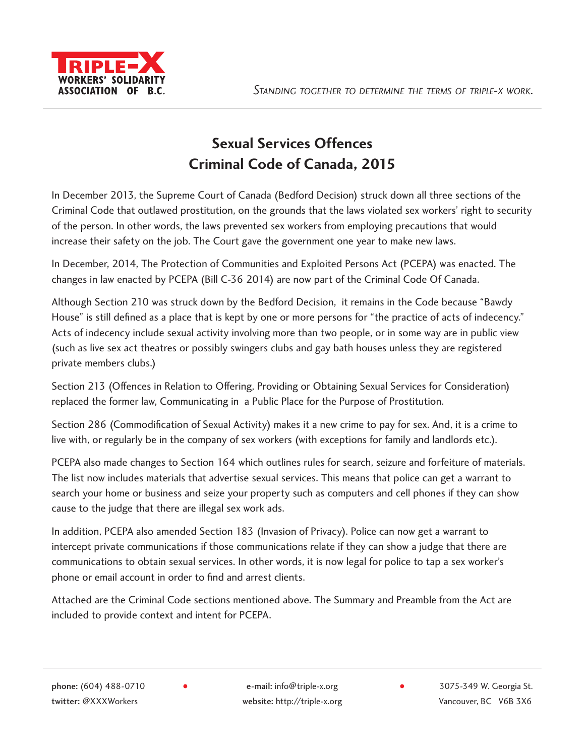

# **Sexual Services Offences Criminal Code of Canada, 2015**

In December 2013, the Supreme Court of Canada (Bedford Decision) struck down all three sections of the Criminal Code that outlawed prostitution, on the grounds that the laws violated sex workers' right to security of the person. In other words, the laws prevented sex workers from employing precautions that would increase their safety on the job. The Court gave the government one year to make new laws.

In December, 2014, The Protection of Communities and Exploited Persons Act (PCEPA) was enacted. The changes in law enacted by PCEPA (Bill C-36 2014) are now part of the Criminal Code Of Canada.

Although Section 210 was struck down by the Bedford Decision, it remains in the Code because "Bawdy House" is still defined as a place that is kept by one or more persons for "the practice of acts of indecency." Acts of indecency include sexual activity involving more than two people, or in some way are in public view (such as live sex act theatres or possibly swingers clubs and gay bath houses unless they are registered private members clubs.)

Section 213 (Offences in Relation to Offering, Providing or Obtaining Sexual Services for Consideration) replaced the former law, Communicating in a Public Place for the Purpose of Prostitution.

Section 286 (Commodification of Sexual Activity) makes it a new crime to pay for sex. And, it is a crime to live with, or regularly be in the company of sex workers (with exceptions for family and landlords etc.).

PCEPA also made changes to Section 164 which outlines rules for search, seizure and forfeiture of materials. The list now includes materials that advertise sexual services. This means that police can get a warrant to search your home or business and seize your property such as computers and cell phones if they can show cause to the judge that there are illegal sex work ads.

In addition, PCEPA also amended Section 183 (Invasion of Privacy). Police can now get a warrant to intercept private communications if those communications relate if they can show a judge that there are communications to obtain sexual services. In other words, it is now legal for police to tap a sex worker's phone or email account in order to find and arrest clients.

Attached are the Criminal Code sections mentioned above. The Summary and Preamble from the Act are included to provide context and intent for PCEPA.

twitter: @XXXWorkers website: http://triple-x.org Vancouver, BC V6B 3X6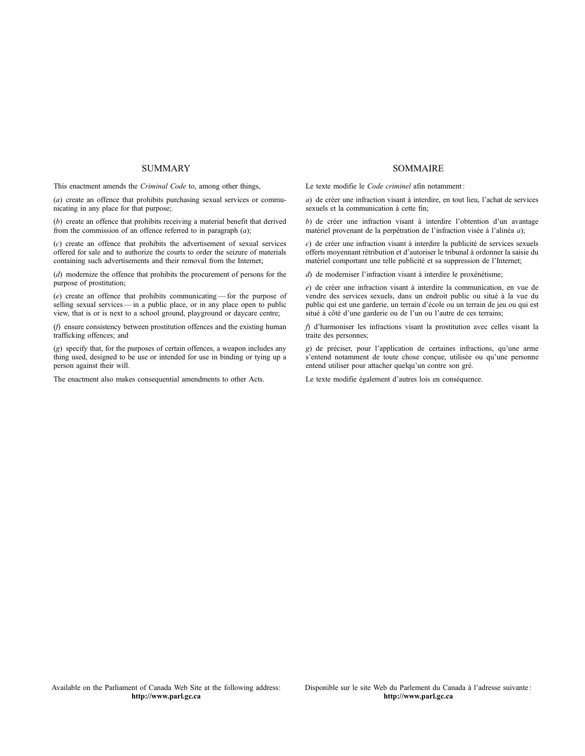#### **SUMMARY**

This enactment amends the *Criminal Code* to, among other things,

(*a*) create an offence that prohibits purchasing sexual services or communicating in any place for that purpose;

(*b*) create an offence that prohibits receiving a material benefit that derived from the commission of an offence referred to in paragraph (*a*);

(*c*) create an offence that prohibits the advertisement of sexual services offered for sale and to authorize the courts to order the seizure of materials containing such advertisements and their removal from the Internet;

(*d*) modernize the offence that prohibits the procurement of persons for the purpose of prostitution;

(*e*) create an offence that prohibits communicating —for the purpose of selling sexual services — in a public place, or in any place open to public view, that is or is next to a school ground, playground or daycare centre;

(*f*) ensure consistency between prostitution offences and the existing human trafficking offences; and

(*g*) specify that, for the purposes of certain offences, a weapon includes any thing used, designed to be use or intended for use in binding or tying up a person against their will.

The enactment also makes consequential amendments to other Acts.

#### SOMMAIRE

Le texte modifie le *Code criminel* afin notamment :

*a*) de créer une infraction visant à interdire, en tout lieu, l'achat de services sexuels et la communication à cette fin;

*b*) de créer une infraction visant à interdire l'obtention d'un avantage matériel provenant de la perpétration de l'infraction visée à l'alinéa *a*);

*c*) de créer une infraction visant à interdire la publicité de services sexuels offerts moyennant rétribution et d'autoriser le tribunal à ordonner la saisie du matériel comportant une telle publicité et sa suppression de l'Internet;

*d*) de moderniser l'infraction visant à interdire le proxénétisme;

*e*) de créer une infraction visant à interdire la communication, en vue de vendre des services sexuels, dans un endroit public ou situé à la vue du public qui est une garderie, un terrain d'école ou un terrain de jeu ou qui est situé à côté d'une garderie ou de l'un ou l'autre de ces terrains;

*f*) d'harmoniser les infractions visant la prostitution avec celles visant la traite des personnes;

*g*) de préciser, pour l'application de certaines infractions, qu'une arme s'entend notamment de toute chose conçue, utilisée ou qu'une personne entend utiliser pour attacher quelqu'un contre son gré.

Le texte modifie également d'autres lois en conséquence.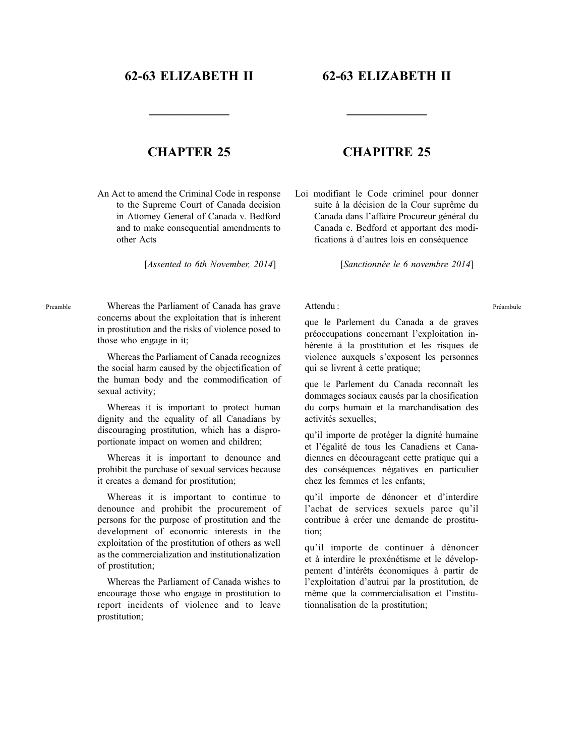## **62-63 ELIZABETH II**

## **62-63 ELIZABETH II**

**——————**

## **CHAPTER 25**

**——————**

An Act to amend the Criminal Code in response to the Supreme Court of Canada decision in Attorney General of Canada v. Bedford and to make consequential amendments to other Acts

[*Assented to 6th November, 2014*]

## **CHAPITRE 25**

Loi modifiant le Code criminel pour donner suite à la décision de la Cour suprême du Canada dans l'affaire Procureur général du Canada c. Bedford et apportant des modifications à d'autres lois en conséquence

[*Sanctionnée le 6 novembre 2014*]

### Attendu :

Whereas the Parliament of Canada has grave concerns about the exploitation that is inherent in prostitution and the risks of violence posed to those who engage in it;

Preamble

Whereas the Parliament of Canada recognizes the social harm caused by the objectification of the human body and the commodification of sexual activity;

Whereas it is important to protect human dignity and the equality of all Canadians by discouraging prostitution, which has a disproportionate impact on women and children;

Whereas it is important to denounce and prohibit the purchase of sexual services because it creates a demand for prostitution;

Whereas it is important to continue to denounce and prohibit the procurement of persons for the purpose of prostitution and the development of economic interests in the exploitation of the prostitution of others as well as the commercialization and institutionalization of prostitution;

Whereas the Parliament of Canada wishes to encourage those who engage in prostitution to report incidents of violence and to leave prostitution;

que le Parlement du Canada a de graves préoccupations concernant l'exploitation inhérente à la prostitution et les risques de violence auxquels s'exposent les personnes qui se livrent à cette pratique;

que le Parlement du Canada reconnaît les dommages sociaux causés par la chosification du corps humain et la marchandisation des activités sexuelles;

qu'il importe de protéger la dignité humaine et l'égalité de tous les Canadiens et Canadiennes en décourageant cette pratique qui a des conséquences négatives en particulier chez les femmes et les enfants;

qu'il importe de dénoncer et d'interdire l'achat de services sexuels parce qu'il contribue à créer une demande de prostitution;

qu'il importe de continuer à dénoncer et à interdire le proxénétisme et le développement d'intérêts économiques à partir de l'exploitation d'autrui par la prostitution, de même que la commercialisation et l'institutionnalisation de la prostitution;

Préambule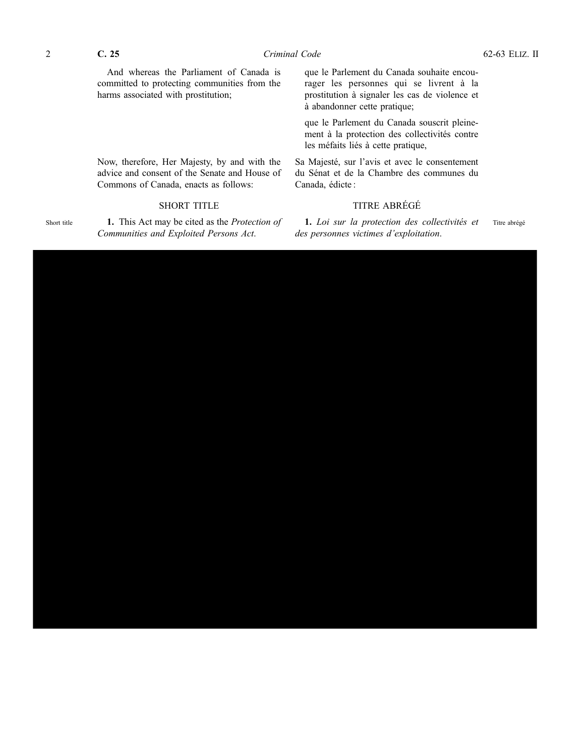Short title

And whereas the Parliament of Canada is committed to protecting communities from the harms associated with prostitution;

Now, therefore, Her Majesty, by and with the advice and consent of the Senate and House of Commons of Canada, enacts as follows:

### SHORT TITLE

**1.** This Act may be cited as the *Protection of Communities and Exploited Persons Act*.

que le Parlement du Canada souhaite encourager les personnes qui se livrent à la prostitution à signaler les cas de violence et à abandonner cette pratique;

que le Parlement du Canada souscrit pleinement à la protection des collectivités contre les méfaits liés à cette pratique,

Sa Majesté, sur l'avis et avec le consentement du Sénat et de la Chambre des communes du Canada, édicte :

## TITRE ABRÉGÉ

**1.** *Loi sur la protection des collectivités et des personnes victimes d'exploitation*. Titre abrégé

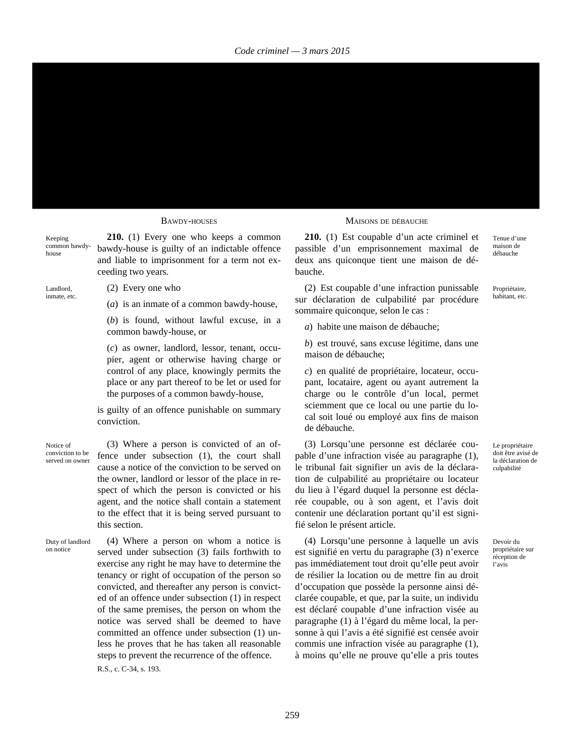Keeping common bawdyhouse

**210.** (1) Every one who keeps a common bawdy-house is guilty of an indictable offence and liable to imprisonment for a term not exceeding two years.

Landlord, inmate, etc. (2) Every one who

(*a*) is an inmate of a common bawdy-house,

(*b*) is found, without lawful excuse, in a common bawdy-house, or

(*c*) as owner, landlord, lessor, tenant, occupier, agent or otherwise having charge or control of any place, knowingly permits the place or any part thereof to be let or used for the purposes of a common bawdy-house,

is guilty of an offence punishable on summary conviction.

Notice of conviction to be served on owner

on notice

(3) Where a person is convicted of an offence under subsection (1), the court shall cause a notice of the conviction to be served on the owner, landlord or lessor of the place in respect of which the person is convicted or his agent, and the notice shall contain a statement to the effect that it is being served pursuant to this section.

Duty of landlord (4) Where a person on whom a notice is served under subsection (3) fails forthwith to exercise any right he may have to determine the tenancy or right of occupation of the person so convicted, and thereafter any person is convicted of an offence under subsection (1) in respect of the same premises, the person on whom the notice was served shall be deemed to have committed an offence under subsection (1) unless he proves that he has taken all reasonable steps to prevent the recurrence of the offence.

R.S., c. C-34, s. 193.

#### BAWDY-HOUSES MAISONS DE DÉBAUCHE

**210.** (1) Est coupable d'un acte criminel et passible d'un emprisonnement maximal de deux ans quiconque tient une maison de débauche.

(2) Est coupable d'une infraction punissable sur déclaration de culpabilité par procédure sommaire quiconque, selon le cas :

Propriétaire, habitant, etc.

Tenue d'une maison de débauche

*a*) habite une maison de débauche;

*b*) est trouvé, sans excuse légitime, dans une maison de débauche;

*c*) en qualité de propriétaire, locateur, occupant, locataire, agent ou ayant autrement la charge ou le contrôle d'un local, permet sciemment que ce local ou une partie du local soit loué ou employé aux fins de maison de débauche.

(3) Lorsqu'une personne est déclarée coupable d'une infraction visée au paragraphe (1), le tribunal fait signifier un avis de la déclaration de culpabilité au propriétaire ou locateur du lieu à l'égard duquel la personne est déclarée coupable, ou à son agent, et l'avis doit contenir une déclaration portant qu'il est signifié selon le présent article.

(4) Lorsqu'une personne à laquelle un avis est signifié en vertu du paragraphe (3) n'exerce pas immédiatement tout droit qu'elle peut avoir de résilier la location ou de mettre fin au droit d'occupation que possède la personne ainsi déclarée coupable, et que, par la suite, un individu est déclaré coupable d'une infraction visée au paragraphe (1) à l'égard du même local, la personne à qui l'avis a été signifié est censée avoir commis une infraction visée au paragraphe (1), à moins qu'elle ne prouve qu'elle a pris toutes

Le propriétaire doit être avisé de la déclaration de culpabilité

Devoir du propriétaire sur réception de l'avis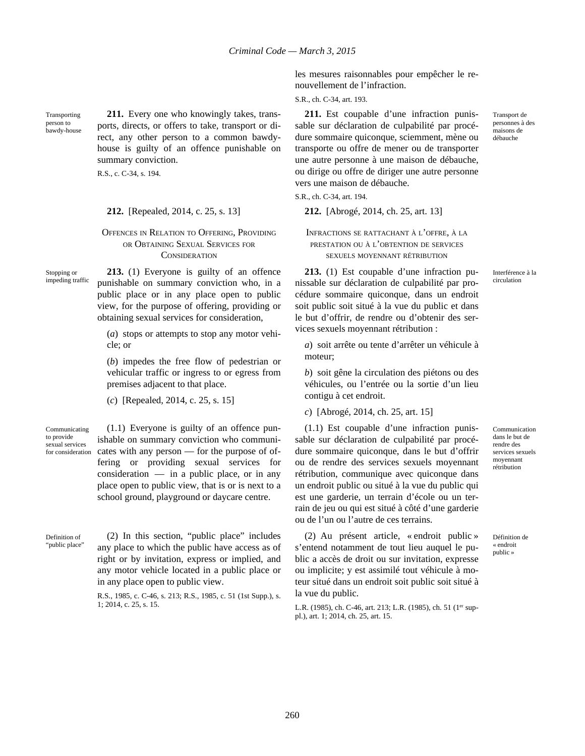Transporting person to bawdy-house

**211.** Every one who knowingly takes, transports, directs, or offers to take, transport or direct, any other person to a common bawdyhouse is guilty of an offence punishable on summary conviction.

R.S., c. C-34, s. 194.

#### **212.** [Repealed, 2014, c. 25, s. 13] **212.** [Abrogé, 2014, ch. 25, art. 13]

### OFFENCES IN RELATION TO OFFERING, PROVIDING OR OBTAINING SEXUAL SERVICES FOR **CONSIDERATION**

Stopping or impeding traffic

**213.** (1) Everyone is guilty of an offence punishable on summary conviction who, in a public place or in any place open to public view, for the purpose of offering, providing or obtaining sexual services for consideration,

(*a*) stops or attempts to stop any motor vehicle; or

(*b*) impedes the free flow of pedestrian or vehicular traffic or ingress to or egress from premises adjacent to that place.

(*c*) [Repealed, 2014, c. 25, s. 15]

Communicating to provide sexual services for consideration

(1.1) Everyone is guilty of an offence punishable on summary conviction who communicates with any person — for the purpose of offering or providing sexual services for consideration — in a public place, or in any place open to public view, that is or is next to a school ground, playground or daycare centre.

Definition of "public place" (2) In this section, "public place" includes any place to which the public have access as of right or by invitation, express or implied, and any motor vehicle located in a public place or in any place open to public view.

> R.S., 1985, c. C-46, s. 213; R.S., 1985, c. 51 (1st Supp.), s. 1; 2014, c. 25, s. 15.

les mesures raisonnables pour empêcher le renouvellement de l'infraction.

S.R., ch. C-34, art. 193.

**211.** Est coupable d'une infraction punissable sur déclaration de culpabilité par procédure sommaire quiconque, sciemment, mène ou transporte ou offre de mener ou de transporter une autre personne à une maison de débauche, ou dirige ou offre de diriger une autre personne vers une maison de débauche.

S.R., ch. C-34, art. 194.

INFRACTIONS SE RATTACHANT <sup>À</sup> <sup>L</sup>'OFFRE, <sup>À</sup> LA PRESTATION OU <sup>À</sup> <sup>L</sup>'OBTENTION DE SERVICES SEXUELS MOYENNANT RÉTRIBUTION

**213.** (1) Est coupable d'une infraction punissable sur déclaration de culpabilité par procédure sommaire quiconque, dans un endroit soit public soit situé à la vue du public et dans le but d'offrir, de rendre ou d'obtenir des services sexuels moyennant rétribution :

*a*) soit arrête ou tente d'arrêter un véhicule à moteur;

*b*) soit gêne la circulation des piétons ou des véhicules, ou l'entrée ou la sortie d'un lieu contigu à cet endroit.

*c*) [Abrogé, 2014, ch. 25, art. 15]

(1.1) Est coupable d'une infraction punissable sur déclaration de culpabilité par procédure sommaire quiconque, dans le but d'offrir ou de rendre des services sexuels moyennant rétribution, communique avec quiconque dans un endroit public ou situé à la vue du public qui est une garderie, un terrain d'école ou un terrain de jeu ou qui est situé à côté d'une garderie ou de l'un ou l'autre de ces terrains.

(2) Au présent article, « endroit public » s'entend notamment de tout lieu auquel le public a accès de droit ou sur invitation, expresse ou implicite; y est assimilé tout véhicule à moteur situé dans un endroit soit public soit situé à la vue du public.

L.R. (1985), ch. C-46, art. 213; L.R. (1985), ch. 51 (1<sup>er</sup> suppl.), art. 1; 2014, ch. 25, art. 15.

personnes à des maisons de débauche

Transport de

Interférence à la circulation

Communication dans le but de rendre des services sexuels moyennant rétribution

Définition de « endroit public »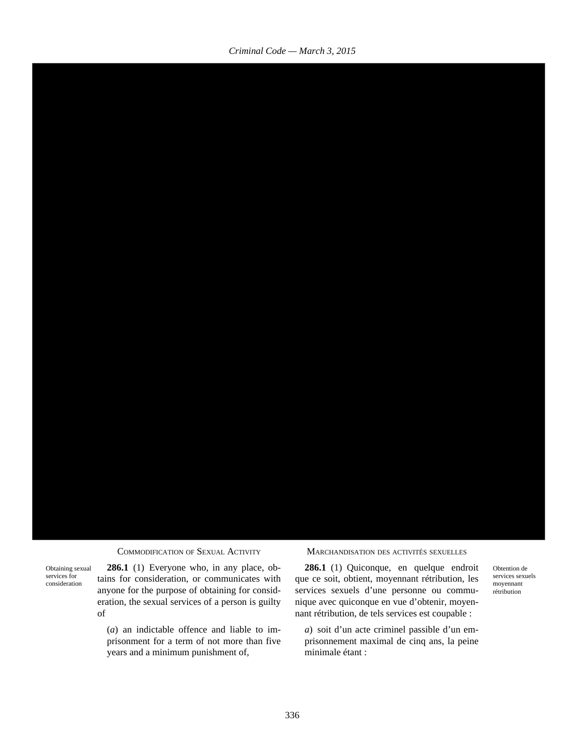

Obtaining sexual services for consideration

**286.1** (1) Everyone who, in any place, obtains for consideration, or communicates with anyone for the purpose of obtaining for consideration, the sexual services of a person is guilty of

(*a*) an indictable offence and liable to imprisonment for a term of not more than five years and a minimum punishment of,

COMMODIFICATION OF SEXUAL ACTIVITY MARCHANDISATION DES ACTIVITÉS SEXUELLES

**286.1** (1) Quiconque, en quelque endroit que ce soit, obtient, moyennant rétribution, les services sexuels d'une personne ou communique avec quiconque en vue d'obtenir, moyennant rétribution, de tels services est coupable :

*a*) soit d'un acte criminel passible d'un emprisonnement maximal de cinq ans, la peine minimale étant :

Obtention de services sexuels moyennant rétribution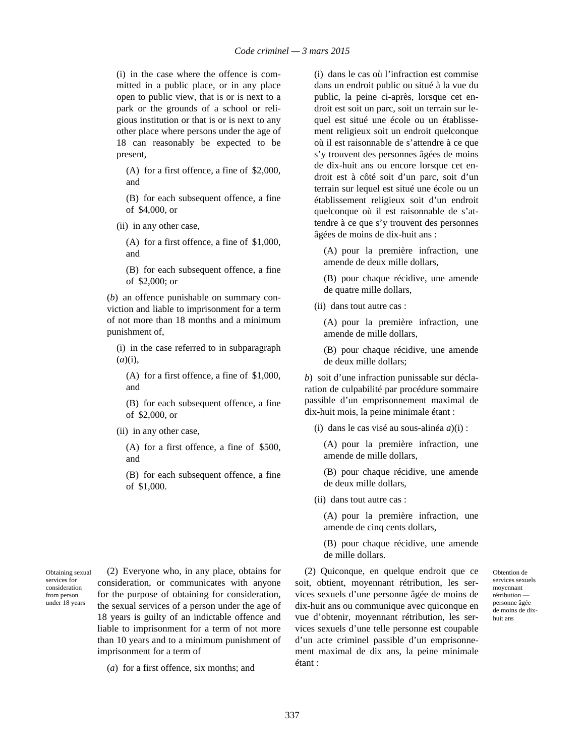(i) in the case where the offence is committed in a public place, or in any place open to public view, that is or is next to a park or the grounds of a school or religious institution or that is or is next to any other place where persons under the age of 18 can reasonably be expected to be present,

(A) for a first offence, a fine of \$2,000, and

(B) for each subsequent offence, a fine of \$4,000, or

(ii) in any other case,

(A) for a first offence, a fine of \$1,000, and

(B) for each subsequent offence, a fine of \$2,000; or

(*b*) an offence punishable on summary conviction and liable to imprisonment for a term of not more than 18 months and a minimum punishment of,

(i) in the case referred to in subparagraph (*a*)(i),

(A) for a first offence, a fine of \$1,000, and

(B) for each subsequent offence, a fine of \$2,000, or

(ii) in any other case,

(A) for a first offence, a fine of \$500, and

(B) for each subsequent offence, a fine of \$1,000.

Obtaining sexual services for consideration from person under 18 years

(2) Everyone who, in any place, obtains for consideration, or communicates with anyone for the purpose of obtaining for consideration, the sexual services of a person under the age of 18 years is guilty of an indictable offence and liable to imprisonment for a term of not more than 10 years and to a minimum punishment of imprisonment for a term of

(*a*) for a first offence, six months; and

(i) dans le cas où l'infraction est commise dans un endroit public ou situé à la vue du public, la peine ci-après, lorsque cet endroit est soit un parc, soit un terrain sur lequel est situé une école ou un établissement religieux soit un endroit quelconque où il est raisonnable de s'attendre à ce que s'y trouvent des personnes âgées de moins de dix-huit ans ou encore lorsque cet endroit est à côté soit d'un parc, soit d'un terrain sur lequel est situé une école ou un établissement religieux soit d'un endroit quelconque où il est raisonnable de s'attendre à ce que s'y trouvent des personnes âgées de moins de dix-huit ans :

(A) pour la première infraction, une amende de deux mille dollars,

(B) pour chaque récidive, une amende de quatre mille dollars,

(ii) dans tout autre cas :

(A) pour la première infraction, une amende de mille dollars,

(B) pour chaque récidive, une amende de deux mille dollars;

*b*) soit d'une infraction punissable sur déclaration de culpabilité par procédure sommaire passible d'un emprisonnement maximal de dix-huit mois, la peine minimale étant :

(i) dans le cas visé au sous-alinéa *a*)(i) :

(A) pour la première infraction, une amende de mille dollars,

(B) pour chaque récidive, une amende de deux mille dollars,

(ii) dans tout autre cas :

(A) pour la première infraction, une amende de cinq cents dollars,

(B) pour chaque récidive, une amende de mille dollars.

(2) Quiconque, en quelque endroit que ce soit, obtient, moyennant rétribution, les services sexuels d'une personne âgée de moins de dix-huit ans ou communique avec quiconque en vue d'obtenir, moyennant rétribution, les services sexuels d'une telle personne est coupable d'un acte criminel passible d'un emprisonnement maximal de dix ans, la peine minimale étant :

Obtention de services sexuels moyennant rétribution personne âgée de moins de dixhuit ans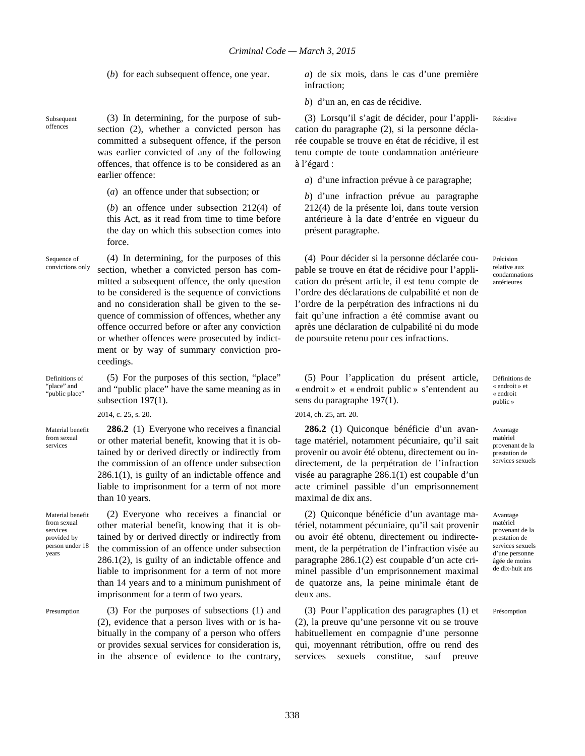(*b*) for each subsequent offence, one year. *a*) de six mois, dans le cas d'une première infraction;

*b*) d'un an, en cas de récidive.

(3) Lorsqu'il s'agit de décider, pour l'application du paragraphe (2), si la personne déclarée coupable se trouve en état de récidive, il est tenu compte de toute condamnation antérieure à l'égard :

*a*) d'une infraction prévue à ce paragraphe;

*b*) d'une infraction prévue au paragraphe 212(4) de la présente loi, dans toute version antérieure à la date d'entrée en vigueur du présent paragraphe.

(4) Pour décider si la personne déclarée coupable se trouve en état de récidive pour l'application du présent article, il est tenu compte de l'ordre des déclarations de culpabilité et non de l'ordre de la perpétration des infractions ni du fait qu'une infraction a été commise avant ou après une déclaration de culpabilité ni du mode de poursuite retenu pour ces infractions.

Précision relative aux condamnations antérieures

Récidive

Définitions de « endroit » et « endroit public »

Avantage matériel provenant de la prestation de services sexuels

Avantage matériel provenant de la prestation de services sexuels d'une personne âgée de moins de dix-huit ans

Présomption

(3) In determining, for the purpose of subsection (2), whether a convicted person has committed a subsequent offence, if the person was earlier convicted of any of the following offences, that offence is to be considered as an earlier offence:

(*a*) an offence under that subsection; or

(*b*) an offence under subsection 212(4) of this Act, as it read from time to time before the day on which this subsection comes into force.

Sequence of convictions only

Subsequent offences

> (4) In determining, for the purposes of this section, whether a convicted person has committed a subsequent offence, the only question to be considered is the sequence of convictions and no consideration shall be given to the sequence of commission of offences, whether any offence occurred before or after any conviction or whether offences were prosecuted by indictment or by way of summary conviction proceedings.

(5) For the purposes of this section, "place" and "public place" have the same meaning as in

**286.2** (1) Everyone who receives a financial or other material benefit, knowing that it is obtained by or derived directly or indirectly from the commission of an offence under subsection 286.1(1), is guilty of an indictable offence and liable to imprisonment for a term of not more

Definitions of "place" and "public place"

2014, c. 25, s. 20.

subsection 197(1).

than 10 years.

Material benefit from sexual services

Material benefit from sexual services provided by person under 18 years

(2) Everyone who receives a financial or other material benefit, knowing that it is obtained by or derived directly or indirectly from the commission of an offence under subsection 286.1(2), is guilty of an indictable offence and liable to imprisonment for a term of not more than 14 years and to a minimum punishment of imprisonment for a term of two years.

Presumption (3) For the purposes of subsections (1) and (2), evidence that a person lives with or is habitually in the company of a person who offers or provides sexual services for consideration is, in the absence of evidence to the contrary,

(5) Pour l'application du présent article, « endroit » et « endroit public » s'entendent au sens du paragraphe 197(1).

2014, ch. 25, art. 20.

**286.2** (1) Quiconque bénéficie d'un avantage matériel, notamment pécuniaire, qu'il sait provenir ou avoir été obtenu, directement ou indirectement, de la perpétration de l'infraction visée au paragraphe 286.1(1) est coupable d'un acte criminel passible d'un emprisonnement maximal de dix ans.

(2) Quiconque bénéficie d'un avantage matériel, notamment pécuniaire, qu'il sait provenir ou avoir été obtenu, directement ou indirectement, de la perpétration de l'infraction visée au paragraphe 286.1(2) est coupable d'un acte criminel passible d'un emprisonnement maximal de quatorze ans, la peine minimale étant de deux ans.

(3) Pour l'application des paragraphes (1) et (2), la preuve qu'une personne vit ou se trouve habituellement en compagnie d'une personne qui, moyennant rétribution, offre ou rend des services sexuels constitue, sauf preuve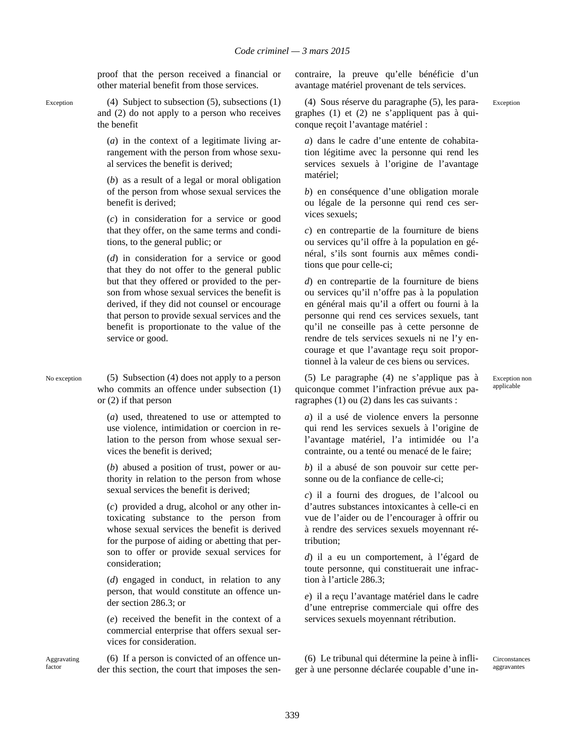proof that the person received a financial or other material benefit from those services.

Exception (4) Subject to subsection (5), subsections (1) and (2) do not apply to a person who receives the benefit

> (*a*) in the context of a legitimate living arrangement with the person from whose sexual services the benefit is derived;

> (*b*) as a result of a legal or moral obligation of the person from whose sexual services the benefit is derived;

> (*c*) in consideration for a service or good that they offer, on the same terms and conditions, to the general public; or

> (*d*) in consideration for a service or good that they do not offer to the general public but that they offered or provided to the person from whose sexual services the benefit is derived, if they did not counsel or encourage that person to provide sexual services and the benefit is proportionate to the value of the service or good.

No exception (5) Subsection (4) does not apply to a person who commits an offence under subsection (1) or (2) if that person

> (*a*) used, threatened to use or attempted to use violence, intimidation or coercion in relation to the person from whose sexual services the benefit is derived;

> (*b*) abused a position of trust, power or authority in relation to the person from whose sexual services the benefit is derived;

> (*c*) provided a drug, alcohol or any other intoxicating substance to the person from whose sexual services the benefit is derived for the purpose of aiding or abetting that person to offer or provide sexual services for consideration;

> (*d*) engaged in conduct, in relation to any person, that would constitute an offence under section 286.3; or

> (*e*) received the benefit in the context of a commercial enterprise that offers sexual services for consideration.

(6) If a person is convicted of an offence under this section, the court that imposes the sencontraire, la preuve qu'elle bénéficie d'un avantage matériel provenant de tels services.

(4) Sous réserve du paragraphe (5), les paragraphes (1) et (2) ne s'appliquent pas à quiconque reçoit l'avantage matériel :

*a*) dans le cadre d'une entente de cohabitation légitime avec la personne qui rend les services sexuels à l'origine de l'avantage matériel;

*b*) en conséquence d'une obligation morale ou légale de la personne qui rend ces services sexuels;

*c*) en contrepartie de la fourniture de biens ou services qu'il offre à la population en général, s'ils sont fournis aux mêmes conditions que pour celle-ci;

*d*) en contrepartie de la fourniture de biens ou services qu'il n'offre pas à la population en général mais qu'il a offert ou fourni à la personne qui rend ces services sexuels, tant qu'il ne conseille pas à cette personne de rendre de tels services sexuels ni ne l'y encourage et que l'avantage reçu soit proportionnel à la valeur de ces biens ou services.

(5) Le paragraphe (4) ne s'applique pas à quiconque commet l'infraction prévue aux paragraphes (1) ou (2) dans les cas suivants :

Exception non applicable

Exception

*a*) il a usé de violence envers la personne qui rend les services sexuels à l'origine de l'avantage matériel, l'a intimidée ou l'a contrainte, ou a tenté ou menacé de le faire;

*b*) il a abusé de son pouvoir sur cette personne ou de la confiance de celle-ci;

*c*) il a fourni des drogues, de l'alcool ou d'autres substances intoxicantes à celle-ci en vue de l'aider ou de l'encourager à offrir ou à rendre des services sexuels moyennant rétribution;

*d*) il a eu un comportement, à l'égard de toute personne, qui constituerait une infraction à l'article 286.3;

*e*) il a reçu l'avantage matériel dans le cadre d'une entreprise commerciale qui offre des services sexuels moyennant rétribution.

(6) Le tribunal qui détermine la peine à infliger à une personne déclarée coupable d'une in-

Circonstances aggravantes

Aggravating factor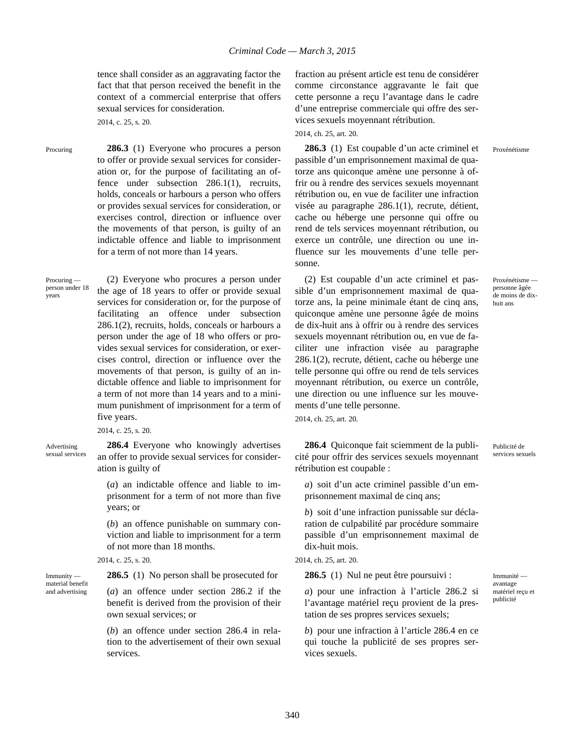tence shall consider as an aggravating factor the fact that that person received the benefit in the context of a commercial enterprise that offers sexual services for consideration.

2014, c. 25, s. 20.

Procuring **286.3** (1) Everyone who procures a person to offer or provide sexual services for consideration or, for the purpose of facilitating an offence under subsection 286.1(1), recruits, holds, conceals or harbours a person who offers or provides sexual services for consideration, or exercises control, direction or influence over the movements of that person, is guilty of an indictable offence and liable to imprisonment for a term of not more than 14 years.

person under 18 (2) Everyone who procures a person under the age of 18 years to offer or provide sexual services for consideration or, for the purpose of facilitating an offence under subsection 286.1(2), recruits, holds, conceals or harbours a person under the age of 18 who offers or provides sexual services for consideration, or exercises control, direction or influence over the movements of that person, is guilty of an indictable offence and liable to imprisonment for a term of not more than 14 years and to a minimum punishment of imprisonment for a term of five years.

2014, c. 25, s. 20.

Advertising sexual services

Immunity material benefit and advertising

Procuring —

years

**286.4** Everyone who knowingly advertises an offer to provide sexual services for consideration is guilty of

(*a*) an indictable offence and liable to imprisonment for a term of not more than five years; or

(*b*) an offence punishable on summary conviction and liable to imprisonment for a term of not more than 18 months.

2014, c. 25, s. 20.

**286.5** (1) No person shall be prosecuted for

(*a*) an offence under section 286.2 if the benefit is derived from the provision of their own sexual services; or

(*b*) an offence under section 286.4 in relation to the advertisement of their own sexual services.

fraction au présent article est tenu de considérer comme circonstance aggravante le fait que cette personne a reçu l'avantage dans le cadre d'une entreprise commerciale qui offre des services sexuels moyennant rétribution.

2014, ch. 25, art. 20.

**286.3** (1) Est coupable d'un acte criminel et passible d'un emprisonnement maximal de quatorze ans quiconque amène une personne à offrir ou à rendre des services sexuels moyennant rétribution ou, en vue de faciliter une infraction visée au paragraphe 286.1(1), recrute, détient, cache ou héberge une personne qui offre ou rend de tels services moyennant rétribution, ou exerce un contrôle, une direction ou une influence sur les mouvements d'une telle personne.

(2) Est coupable d'un acte criminel et passible d'un emprisonnement maximal de quatorze ans, la peine minimale étant de cinq ans, quiconque amène une personne âgée de moins de dix-huit ans à offrir ou à rendre des services sexuels moyennant rétribution ou, en vue de faciliter une infraction visée au paragraphe 286.1(2), recrute, détient, cache ou héberge une telle personne qui offre ou rend de tels services moyennant rétribution, ou exerce un contrôle, une direction ou une influence sur les mouvements d'une telle personne.

2014, ch. 25, art. 20.

**286.4** Quiconque fait sciemment de la publicité pour offrir des services sexuels moyennant rétribution est coupable :

*a*) soit d'un acte criminel passible d'un emprisonnement maximal de cinq ans;

*b*) soit d'une infraction punissable sur déclaration de culpabilité par procédure sommaire passible d'un emprisonnement maximal de dix-huit mois.

2014, ch. 25, art. 20.

**286.5** (1) Nul ne peut être poursuivi :

*a*) pour une infraction à l'article 286.2 si l'avantage matériel reçu provient de la prestation de ses propres services sexuels;

*b*) pour une infraction à l'article 286.4 en ce qui touche la publicité de ses propres services sexuels.

Proxénétisme personne âgée de moins de dixhuit ans

Publicité de services sexuels

Immunité avantage matériel reçu et publicité

Proxénétisme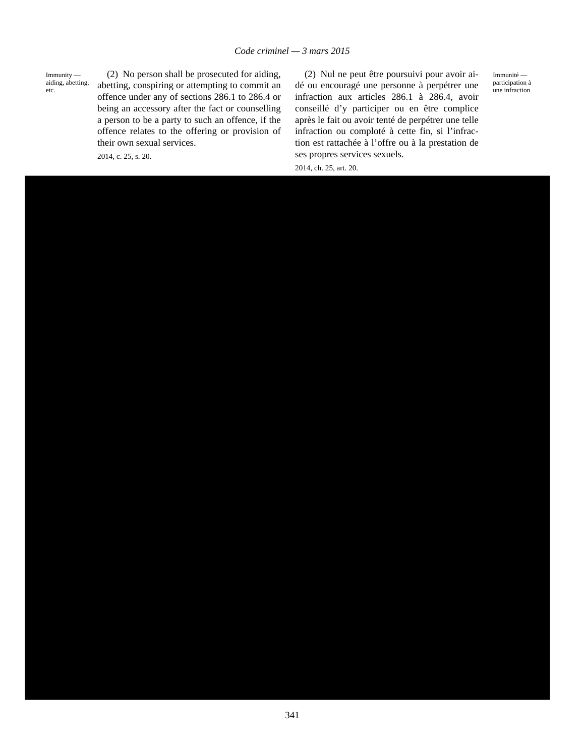Immunity aiding, abetting, etc.

(2) No person shall be prosecuted for aiding, abetting, conspiring or attempting to commit an offence under any of sections 286.1 to 286.4 or being an accessory after the fact or counselling a person to be a party to such an offence, if the offence relates to the offering or provision of their own sexual services.

2014, c. 25, s. 20.

(2) Nul ne peut être poursuivi pour avoir aidé ou encouragé une personne à perpétrer une infraction aux articles 286.1 à 286.4, avoir conseillé d'y participer ou en être complice après le fait ou avoir tenté de perpétrer une telle infraction ou comploté à cette fin, si l'infraction est rattachée à l'offre ou à la prestation de ses propres services sexuels.

Immunité participation à une infraction

2014, ch. 25, art. 20.

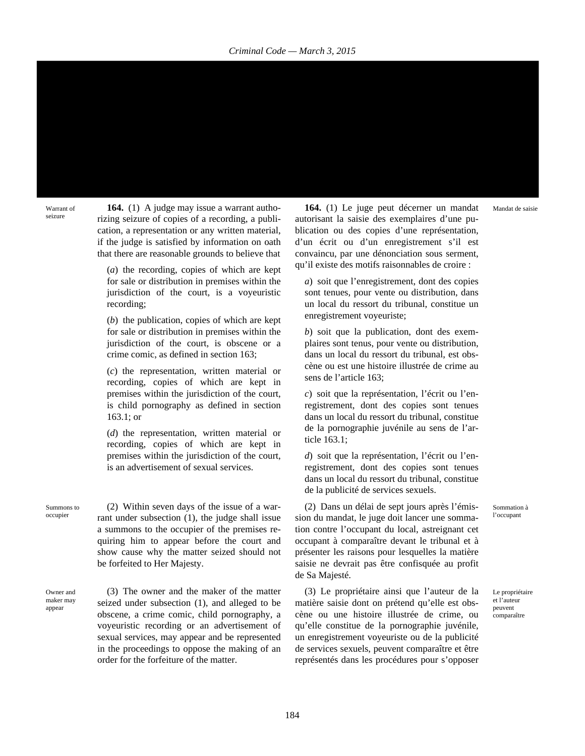Warrant of seizure

**164.** (1) A judge may issue a warrant authorizing seizure of copies of a recording, a publication, a representation or any written material, if the judge is satisfied by information on oath that there are reasonable grounds to believe that

(*a*) the recording, copies of which are kept for sale or distribution in premises within the jurisdiction of the court, is a voyeuristic recording;

(*b*) the publication, copies of which are kept for sale or distribution in premises within the jurisdiction of the court, is obscene or a crime comic, as defined in section 163;

(*c*) the representation, written material or recording, copies of which are kept in premises within the jurisdiction of the court, is child pornography as defined in section 163.1; or

(*d*) the representation, written material or recording, copies of which are kept in premises within the jurisdiction of the court, is an advertisement of sexual services.

Summons to occupier

(2) Within seven days of the issue of a warrant under subsection (1), the judge shall issue a summons to the occupier of the premises requiring him to appear before the court and show cause why the matter seized should not be forfeited to Her Majesty.

Owner and maker may appear

(3) The owner and the maker of the matter seized under subsection (1), and alleged to be obscene, a crime comic, child pornography, a voyeuristic recording or an advertisement of sexual services, may appear and be represented in the proceedings to oppose the making of an order for the forfeiture of the matter.

**164.** (1) Le juge peut décerner un mandat autorisant la saisie des exemplaires d'une publication ou des copies d'une représentation, d'un écrit ou d'un enregistrement s'il est convaincu, par une dénonciation sous serment, qu'il existe des motifs raisonnables de croire :

*a*) soit que l'enregistrement, dont des copies sont tenues, pour vente ou distribution, dans un local du ressort du tribunal, constitue un enregistrement voyeuriste;

*b*) soit que la publication, dont des exemplaires sont tenus, pour vente ou distribution, dans un local du ressort du tribunal, est obscène ou est une histoire illustrée de crime au sens de l'article 163;

*c*) soit que la représentation, l'écrit ou l'enregistrement, dont des copies sont tenues dans un local du ressort du tribunal, constitue de la pornographie juvénile au sens de l'article 163.1;

*d*) soit que la représentation, l'écrit ou l'enregistrement, dont des copies sont tenues dans un local du ressort du tribunal, constitue de la publicité de services sexuels.

(2) Dans un délai de sept jours après l'émission du mandat, le juge doit lancer une sommation contre l'occupant du local, astreignant cet occupant à comparaître devant le tribunal et à présenter les raisons pour lesquelles la matière saisie ne devrait pas être confisquée au profit de Sa Majesté.

(3) Le propriétaire ainsi que l'auteur de la matière saisie dont on prétend qu'elle est obscène ou une histoire illustrée de crime, ou qu'elle constitue de la pornographie juvénile, un enregistrement voyeuriste ou de la publicité de services sexuels, peuvent comparaître et être représentés dans les procédures pour s'opposer

Sommation à l'occupant

Mandat de saisie

Le propriétaire et l'auteur peuvent comparaître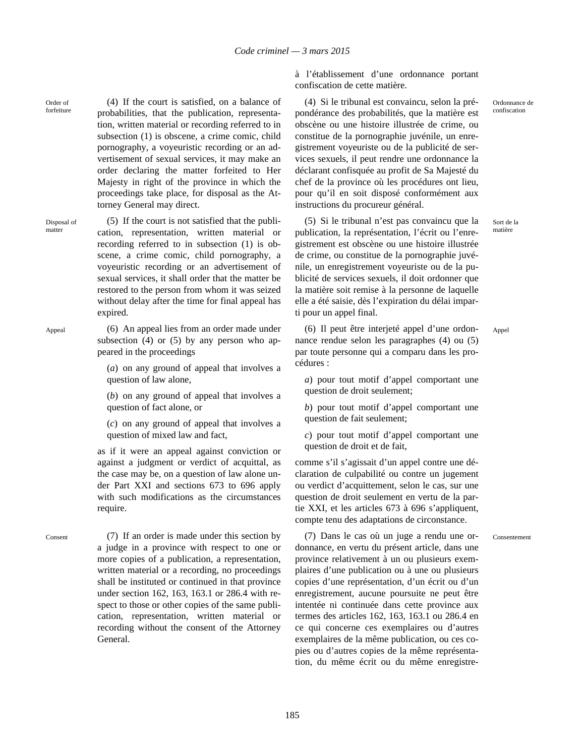Order of forfeiture

(4) If the court is satisfied, on a balance of probabilities, that the publication, representation, written material or recording referred to in subsection (1) is obscene, a crime comic, child pornography, a voyeuristic recording or an advertisement of sexual services, it may make an order declaring the matter forfeited to Her Majesty in right of the province in which the proceedings take place, for disposal as the Attorney General may direct.

Disposal of matter

(5) If the court is not satisfied that the publication, representation, written material or recording referred to in subsection (1) is obscene, a crime comic, child pornography, a voyeuristic recording or an advertisement of sexual services, it shall order that the matter be restored to the person from whom it was seized without delay after the time for final appeal has expired.

Appeal (6) An appeal lies from an order made under subsection (4) or (5) by any person who appeared in the proceedings

> (*a*) on any ground of appeal that involves a question of law alone,

> (*b*) on any ground of appeal that involves a question of fact alone, or

> (*c*) on any ground of appeal that involves a question of mixed law and fact,

as if it were an appeal against conviction or against a judgment or verdict of acquittal, as the case may be, on a question of law alone under Part XXI and sections 673 to 696 apply with such modifications as the circumstances require.

Consent (7) If an order is made under this section by a judge in a province with respect to one or more copies of a publication, a representation, written material or a recording, no proceedings shall be instituted or continued in that province under section 162, 163, 163.1 or 286.4 with respect to those or other copies of the same publication, representation, written material or recording without the consent of the Attorney General.

à l'établissement d'une ordonnance portant confiscation de cette matière.

(4) Si le tribunal est convaincu, selon la prépondérance des probabilités, que la matière est obscène ou une histoire illustrée de crime, ou constitue de la pornographie juvénile, un enregistrement voyeuriste ou de la publicité de services sexuels, il peut rendre une ordonnance la déclarant confisquée au profit de Sa Majesté du chef de la province où les procédures ont lieu, pour qu'il en soit disposé conformément aux instructions du procureur général.

(5) Si le tribunal n'est pas convaincu que la publication, la représentation, l'écrit ou l'enregistrement est obscène ou une histoire illustrée de crime, ou constitue de la pornographie juvénile, un enregistrement voyeuriste ou de la publicité de services sexuels, il doit ordonner que la matière soit remise à la personne de laquelle elle a été saisie, dès l'expiration du délai imparti pour un appel final.

Sort de la matière

Appel

(6) Il peut être interjeté appel d'une ordonnance rendue selon les paragraphes (4) ou (5) par toute personne qui a comparu dans les procédures :

*a*) pour tout motif d'appel comportant une question de droit seulement:

*b*) pour tout motif d'appel comportant une question de fait seulement;

*c*) pour tout motif d'appel comportant une question de droit et de fait,

comme s'il s'agissait d'un appel contre une déclaration de culpabilité ou contre un jugement ou verdict d'acquittement, selon le cas, sur une question de droit seulement en vertu de la partie XXI, et les articles 673 à 696 s'appliquent, compte tenu des adaptations de circonstance.

Consentement

(7) Dans le cas où un juge a rendu une ordonnance, en vertu du présent article, dans une province relativement à un ou plusieurs exemplaires d'une publication ou à une ou plusieurs copies d'une représentation, d'un écrit ou d'un enregistrement, aucune poursuite ne peut être intentée ni continuée dans cette province aux termes des articles 162, 163, 163.1 ou 286.4 en ce qui concerne ces exemplaires ou d'autres exemplaires de la même publication, ou ces copies ou d'autres copies de la même représentation, du même écrit ou du même enregistre-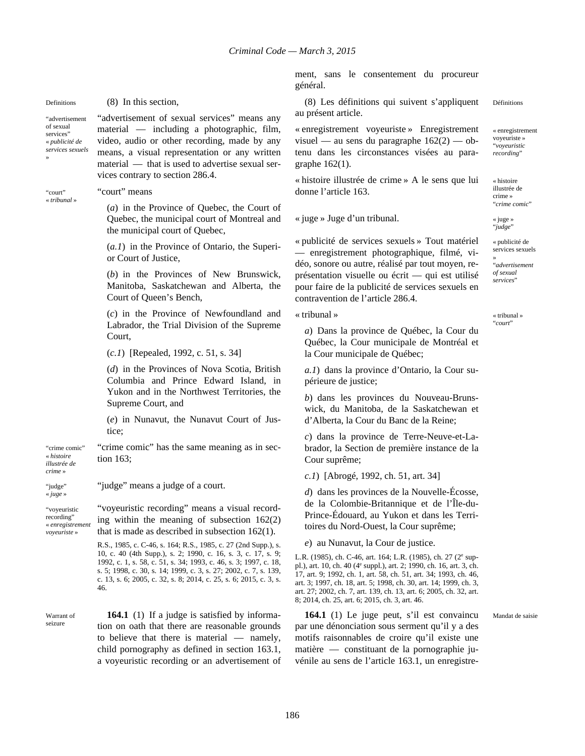»

"advertisement of sexual services' « *publicité de services sexuels*

"court" « *tribunal* »

### Definitions (8) In this section,

"advertisement of sexual services" means any material — including a photographic, film, video, audio or other recording, made by any means, a visual representation or any written material — that is used to advertise sexual services contrary to section 286.4.

#### "court" means

(*a*) in the Province of Quebec, the Court of Quebec, the municipal court of Montreal and the municipal court of Quebec,

(*a.1*) in the Province of Ontario, the Superior Court of Justice,

(*b*) in the Provinces of New Brunswick, Manitoba, Saskatchewan and Alberta, the Court of Queen's Bench,

(*c*) in the Province of Newfoundland and Labrador, the Trial Division of the Supreme Court,

(*c.1*) [Repealed, 1992, c. 51, s. 34]

(*d*) in the Provinces of Nova Scotia, British Columbia and Prince Edward Island, in Yukon and in the Northwest Territories, the Supreme Court, and

(*e*) in Nunavut, the Nunavut Court of Justice;

"crime comic" « *histoire* "crime comic" has the same meaning as in section 163;

*illustrée de crime* » "judge"

« *juge* »

"judge" means a judge of a court.

"voyeuristic recording" « *enregistrement voyeuriste* » "voyeuristic recording" means a visual recording within the meaning of subsection 162(2) that is made as described in subsection 162(1).

> R.S., 1985, c. C-46, s. 164; R.S., 1985, c. 27 (2nd Supp.), s. 10, c. 40 (4th Supp.), s. 2; 1990, c. 16, s. 3, c. 17, s. 9; 1992, c. 1, s. 58, c. 51, s. 34; 1993, c. 46, s. 3; 1997, c. 18, s. 5; 1998, c. 30, s. 14; 1999, c. 3, s. 27; 2002, c. 7, s. 139, c. 13, s. 6; 2005, c. 32, s. 8; 2014, c. 25, s. 6; 2015, c. 3, s. 46.

Warrant of seizure

**164.1** (1) If a judge is satisfied by information on oath that there are reasonable grounds to believe that there is material — namely, child pornography as defined in section 163.1, a voyeuristic recording or an advertisement of ment, sans le consentement du procureur général.

(8) Les définitions qui suivent s'appliquent au présent article. Définitions

« enregistrement voyeuriste » Enregistrement visuel — au sens du paragraphe  $162(2)$  — obtenu dans les circonstances visées au paragraphe 162(1).

« histoire illustrée de crime » A le sens que lui donne l'article 163.

« juge » Juge d'un tribunal. « juge »

« publicité de services sexuels » Tout matériel — enregistrement photographique, filmé, vidéo, sonore ou autre, réalisé par tout moyen, représentation visuelle ou écrit — qui est utilisé pour faire de la publicité de services sexuels en contravention de l'article 286.4.

« tribunal »

*a*) Dans la province de Québec, la Cour du Québec, la Cour municipale de Montréal et la Cour municipale de Québec;

*a.1*) dans la province d'Ontario, la Cour supérieure de justice;

*b*) dans les provinces du Nouveau-Brunswick, du Manitoba, de la Saskatchewan et d'Alberta, la Cour du Banc de la Reine;

*c*) dans la province de Terre-Neuve-et-Labrador, la Section de première instance de la Cour suprême;

*c.1*) [Abrogé, 1992, ch. 51, art. 34]

*d*) dans les provinces de la Nouvelle-Écosse, de la Colombie-Britannique et de l'Île-du-Prince-Édouard, au Yukon et dans les Territoires du Nord-Ouest, la Cour suprême;

*e*) au Nunavut, la Cour de justice.

L.R. (1985), ch. C-46, art. 164; L.R. (1985), ch. 27 (2<sup>e</sup> suppl.), art. 10, ch. 40 (4<sup>e</sup> suppl.), art. 2; 1990, ch. 16, art. 3, ch. 17, art. 9; 1992, ch. 1, art. 58, ch. 51, art. 34; 1993, ch. 46, art. 3; 1997, ch. 18, art. 5; 1998, ch. 30, art. 14; 1999, ch. 3, art. 27; 2002, ch. 7, art. 139, ch. 13, art. 6; 2005, ch. 32, art. 8; 2014, ch. 25, art. 6; 2015, ch. 3, art. 46.

**164.1** (1) Le juge peut, s'il est convaincu par une dénonciation sous serment qu'il y a des motifs raisonnables de croire qu'il existe une matière — constituant de la pornographie juvénile au sens de l'article 163.1, un enregistre« enregistrement

voyeuriste » "*voyeuristic recording*"

« histoire illustrée de crime » "*crime comic*"

"*judge*"

« publicité de services sexuels »

"*advertisement of sexual services*"

« tribunal » "*court*"

Mandat de saisie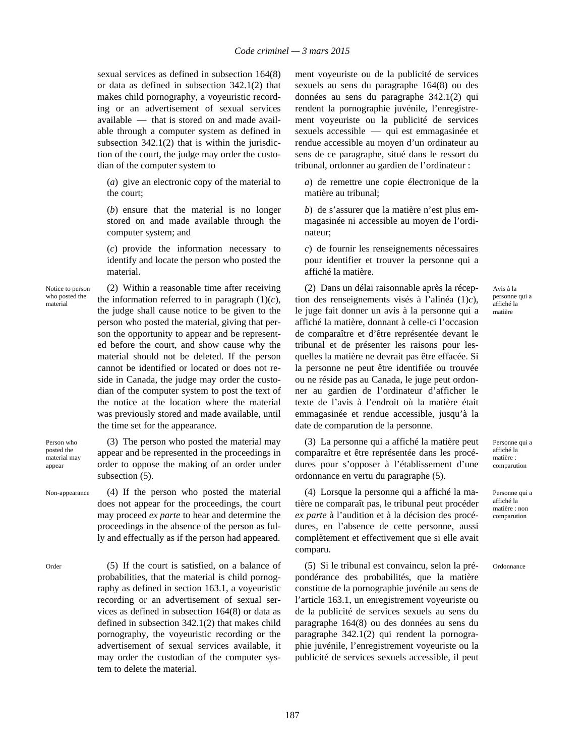sexual services as defined in subsection 164(8) or data as defined in subsection 342.1(2) that makes child pornography, a voyeuristic recording or an advertisement of sexual services available — that is stored on and made available through a computer system as defined in subsection  $342.1(2)$  that is within the jurisdiction of the court, the judge may order the custodian of the computer system to

(*a*) give an electronic copy of the material to the court;

(*b*) ensure that the material is no longer stored on and made available through the computer system; and

(*c*) provide the information necessary to identify and locate the person who posted the material.

Notice to person who posted the material

(2) Within a reasonable time after receiving the information referred to in paragraph  $(1)(c)$ , the judge shall cause notice to be given to the person who posted the material, giving that person the opportunity to appear and be represented before the court, and show cause why the material should not be deleted. If the person cannot be identified or located or does not reside in Canada, the judge may order the custodian of the computer system to post the text of the notice at the location where the material was previously stored and made available, until the time set for the appearance.

Person who posted the material may appear

(3) The person who posted the material may appear and be represented in the proceedings in order to oppose the making of an order under subsection (5).

Non-appearance (4) If the person who posted the material does not appear for the proceedings, the court may proceed *ex parte* to hear and determine the proceedings in the absence of the person as fully and effectually as if the person had appeared.

Order (5) If the court is satisfied, on a balance of probabilities, that the material is child pornography as defined in section 163.1, a voyeuristic recording or an advertisement of sexual services as defined in subsection 164(8) or data as defined in subsection 342.1(2) that makes child pornography, the voyeuristic recording or the advertisement of sexual services available, it may order the custodian of the computer system to delete the material.

ment voyeuriste ou de la publicité de services sexuels au sens du paragraphe 164(8) ou des données au sens du paragraphe 342.1(2) qui rendent la pornographie juvénile, l'enregistrement voyeuriste ou la publicité de services sexuels accessible — qui est emmagasinée et rendue accessible au moyen d'un ordinateur au sens de ce paragraphe, situé dans le ressort du tribunal, ordonner au gardien de l'ordinateur :

*a*) de remettre une copie électronique de la matière au tribunal;

*b*) de s'assurer que la matière n'est plus emmagasinée ni accessible au moyen de l'ordinateur;

*c*) de fournir les renseignements nécessaires pour identifier et trouver la personne qui a affiché la matière.

(2) Dans un délai raisonnable après la réception des renseignements visés à l'alinéa (1)*c*), le juge fait donner un avis à la personne qui a affiché la matière, donnant à celle-ci l'occasion de comparaître et d'être représentée devant le tribunal et de présenter les raisons pour lesquelles la matière ne devrait pas être effacée. Si la personne ne peut être identifiée ou trouvée ou ne réside pas au Canada, le juge peut ordonner au gardien de l'ordinateur d'afficher le texte de l'avis à l'endroit où la matière était emmagasinée et rendue accessible, jusqu'à la date de comparution de la personne.

(3) La personne qui a affiché la matière peut comparaître et être représentée dans les procédures pour s'opposer à l'établissement d'une ordonnance en vertu du paragraphe (5).

(4) Lorsque la personne qui a affiché la matière ne comparaît pas, le tribunal peut procéder *ex parte* à l'audition et à la décision des procédures, en l'absence de cette personne, aussi complètement et effectivement que si elle avait comparu.

(5) Si le tribunal est convaincu, selon la prépondérance des probabilités, que la matière constitue de la pornographie juvénile au sens de l'article 163.1, un enregistrement voyeuriste ou de la publicité de services sexuels au sens du paragraphe 164(8) ou des données au sens du paragraphe 342.1(2) qui rendent la pornographie juvénile, l'enregistrement voyeuriste ou la publicité de services sexuels accessible, il peut Avis à la personne qui a affiché la matière

Personne qui a affiché la matière : comparution

Personne qui a affiché la matière : non comparution

Ordonnance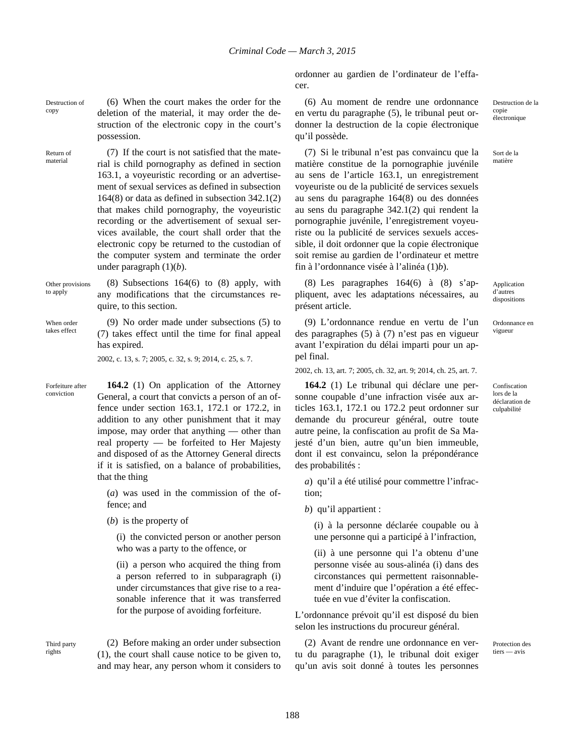ordonner au gardien de l'ordinateur de l'effacer.

Destruction of (6) When the court makes the order for the deletion of the material, it may order the destruction of the electronic copy in the court's possession.

Return of material (7) If the court is not satisfied that the material is child pornography as defined in section 163.1, a voyeuristic recording or an advertisement of sexual services as defined in subsection 164(8) or data as defined in subsection 342.1(2) that makes child pornography, the voyeuristic recording or the advertisement of sexual services available, the court shall order that the electronic copy be returned to the custodian of the computer system and terminate the order under paragraph (1)(*b*).

Other provisions to apply

copy

(8) Subsections 164(6) to (8) apply, with any modifications that the circumstances require, to this section.

When order takes effect

Forfeiture after conviction

(9) No order made under subsections (5) to (7) takes effect until the time for final appeal has expired.

2002, c. 13, s. 7; 2005, c. 32, s. 9; 2014, c. 25, s. 7.

**164.2** (1) On application of the Attorney General, a court that convicts a person of an offence under section 163.1, 172.1 or 172.2, in addition to any other punishment that it may impose, may order that anything — other than real property — be forfeited to Her Majesty and disposed of as the Attorney General directs if it is satisfied, on a balance of probabilities, that the thing

(*a*) was used in the commission of the offence; and

(*b*) is the property of

(i) the convicted person or another person who was a party to the offence, or

(ii) a person who acquired the thing from a person referred to in subparagraph (i) under circumstances that give rise to a reasonable inference that it was transferred for the purpose of avoiding forfeiture.

Third party rights

(2) Before making an order under subsection (1), the court shall cause notice to be given to, and may hear, any person whom it considers to

(6) Au moment de rendre une ordonnance en vertu du paragraphe (5), le tribunal peut ordonner la destruction de la copie électronique qu'il possède.

(7) Si le tribunal n'est pas convaincu que la matière constitue de la pornographie juvénile au sens de l'article 163.1, un enregistrement voyeuriste ou de la publicité de services sexuels au sens du paragraphe 164(8) ou des données au sens du paragraphe 342.1(2) qui rendent la pornographie juvénile, l'enregistrement voyeuriste ou la publicité de services sexuels accessible, il doit ordonner que la copie électronique soit remise au gardien de l'ordinateur et mettre fin à l'ordonnance visée à l'alinéa (1)*b*).

(8) Les paragraphes 164(6) à (8) s'appliquent, avec les adaptations nécessaires, au présent article.

(9) L'ordonnance rendue en vertu de l'un des paragraphes (5) à (7) n'est pas en vigueur avant l'expiration du délai imparti pour un appel final.

2002, ch. 13, art. 7; 2005, ch. 32, art. 9; 2014, ch. 25, art. 7.

**164.2** (1) Le tribunal qui déclare une personne coupable d'une infraction visée aux articles 163.1, 172.1 ou 172.2 peut ordonner sur demande du procureur général, outre toute autre peine, la confiscation au profit de Sa Majesté d'un bien, autre qu'un bien immeuble, dont il est convaincu, selon la prépondérance des probabilités :

*a*) qu'il a été utilisé pour commettre l'infraction;

*b*) qu'il appartient :

(i) à la personne déclarée coupable ou à une personne qui a participé à l'infraction,

(ii) à une personne qui l'a obtenu d'une personne visée au sous-alinéa (i) dans des circonstances qui permettent raisonnablement d'induire que l'opération a été effectuée en vue d'éviter la confiscation.

L'ordonnance prévoit qu'il est disposé du bien selon les instructions du procureur général.

(2) Avant de rendre une ordonnance en vertu du paragraphe (1), le tribunal doit exiger qu'un avis soit donné à toutes les personnes Destruction de la copie électronique

Sort de la matière

Application d'autres dispositions

Ordonnance en vigueur

Confiscation lors de la déclaration de culpabilité

Protection des tiers — avis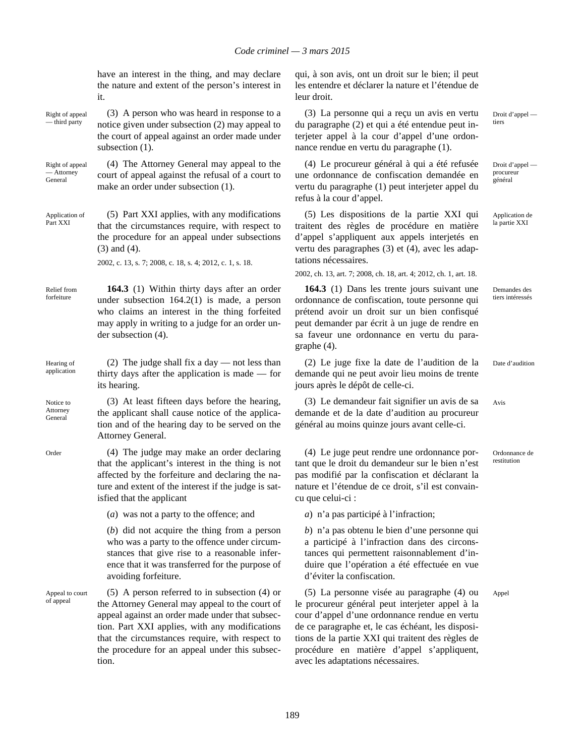have an interest in the thing, and may declare the nature and extent of the person's interest in it.

Right of appeal — third party (3) A person who was heard in response to a notice given under subsection (2) may appeal to the court of appeal against an order made under subsection  $(1)$ .

Right of appeal — Attorney General (4) The Attorney General may appeal to the court of appeal against the refusal of a court to make an order under subsection (1).

Application of Part XXI (5) Part XXI applies, with any modifications that the circumstances require, with respect to the procedure for an appeal under subsections (3) and (4).

2002, c. 13, s. 7; 2008, c. 18, s. 4; 2012, c. 1, s. 18.

Relief from forfeiture **164.3** (1) Within thirty days after an order under subsection 164.2(1) is made, a person who claims an interest in the thing forfeited may apply in writing to a judge for an order under subsection (4).

Hearing of application (2) The judge shall fix a day — not less than thirty days after the application is made — for its hearing.

Notice to Attorney General

(3) At least fifteen days before the hearing, the applicant shall cause notice of the application and of the hearing day to be served on the Attorney General.

Order (4) The judge may make an order declaring that the applicant's interest in the thing is not affected by the forfeiture and declaring the nature and extent of the interest if the judge is satisfied that the applicant

(*a*) was not a party to the offence; and

(*b*) did not acquire the thing from a person who was a party to the offence under circumstances that give rise to a reasonable inference that it was transferred for the purpose of avoiding forfeiture.

Appeal to court of appeal

(5) A person referred to in subsection (4) or the Attorney General may appeal to the court of appeal against an order made under that subsection. Part XXI applies, with any modifications that the circumstances require, with respect to the procedure for an appeal under this subsection.

qui, à son avis, ont un droit sur le bien; il peut les entendre et déclarer la nature et l'étendue de leur droit.

(3) La personne qui a reçu un avis en vertu du paragraphe (2) et qui a été entendue peut interjeter appel à la cour d'appel d'une ordonnance rendue en vertu du paragraphe (1).

(4) Le procureur général à qui a été refusée une ordonnance de confiscation demandée en vertu du paragraphe (1) peut interjeter appel du refus à la cour d'appel.

(5) Les dispositions de la partie XXI qui traitent des règles de procédure en matière d'appel s'appliquent aux appels interjetés en vertu des paragraphes (3) et (4), avec les adaptations nécessaires.

2002, ch. 13, art. 7; 2008, ch. 18, art. 4; 2012, ch. 1, art. 18.

**164.3** (1) Dans les trente jours suivant une ordonnance de confiscation, toute personne qui prétend avoir un droit sur un bien confisqué peut demander par écrit à un juge de rendre en sa faveur une ordonnance en vertu du paragraphe (4).

(2) Le juge fixe la date de l'audition de la demande qui ne peut avoir lieu moins de trente jours après le dépôt de celle-ci.

(3) Le demandeur fait signifier un avis de sa demande et de la date d'audition au procureur général au moins quinze jours avant celle-ci.

(4) Le juge peut rendre une ordonnance portant que le droit du demandeur sur le bien n'est pas modifié par la confiscation et déclarant la nature et l'étendue de ce droit, s'il est convaincu que celui-ci :

*a*) n'a pas participé à l'infraction;

*b*) n'a pas obtenu le bien d'une personne qui a participé à l'infraction dans des circonstances qui permettent raisonnablement d'induire que l'opération a été effectuée en vue d'éviter la confiscation.

(5) La personne visée au paragraphe (4) ou le procureur général peut interjeter appel à la cour d'appel d'une ordonnance rendue en vertu de ce paragraphe et, le cas échéant, les dispositions de la partie XXI qui traitent des règles de procédure en matière d'appel s'appliquent, avec les adaptations nécessaires.

Droit d'appel tiers

Droit d'appel procureur général

Application de la partie XXI

Demandes des tiers intéressés

Date d'audition

Avis

Ordonnance de restitution

Appel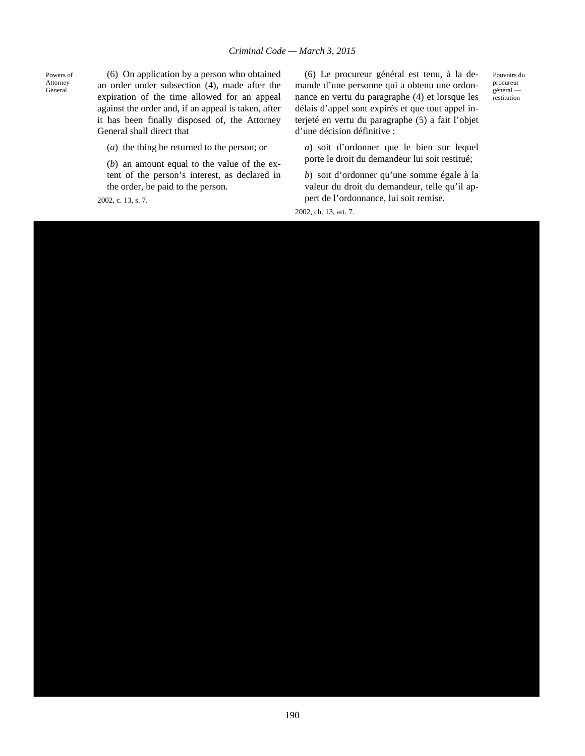Powers of Attorney General

(6) On application by a person who obtained an order under subsection (4), made after the expiration of the time allowed for an appeal against the order and, if an appeal is taken, after it has been finally disposed of, the Attorney General shall direct that

(*a*) the thing be returned to the person; or

(*b*) an amount equal to the value of the extent of the person's interest, as declared in the order, be paid to the person.

2002, c. 13, s. 7.

(6) Le procureur général est tenu, à la demande d'une personne qui a obtenu une ordonnance en vertu du paragraphe (4) et lorsque les délais d'appel sont expirés et que tout appel interjeté en vertu du paragraphe (5) a fait l'objet d'une décision définitive :

*a*) soit d'ordonner que le bien sur lequel porte le droit du demandeur lui soit restitué;

*b*) soit d'ordonner qu'une somme égale à la valeur du droit du demandeur, telle qu'il appert de l'ordonnance, lui soit remise.

2002, ch. 13, art. 7.

Pouvoirs du procureur général restitution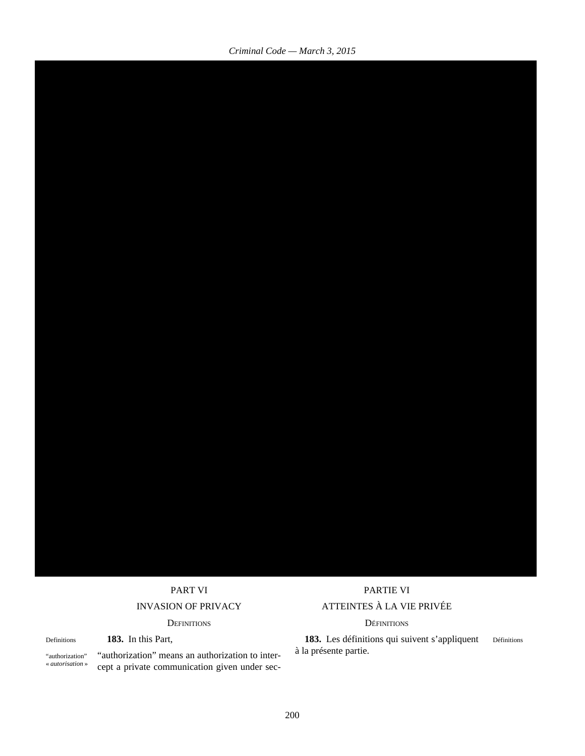### DEFINITIONS DÉFINITIONS

Definitions **183.** In this Part,

"authorization" « *autorisation* » "authorization" means an authorization to intercept a private communication given under sec-

## PART VI PARTIE VI INVASION OF PRIVACY ATTEINTES À LA VIE PRIVÉE

**183.** Les définitions qui suivent s'appliquent à la présente partie. Définitions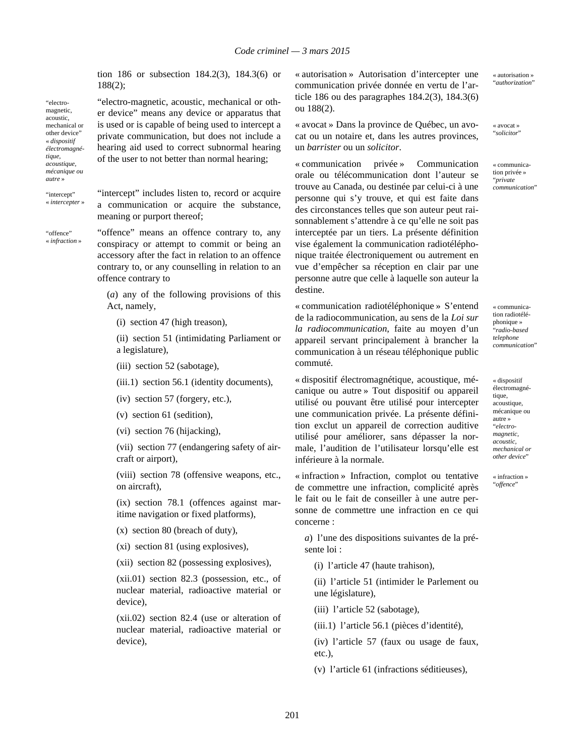tion 186 or subsection 184.2(3), 184.3(6) or 188(2);

"electro-magnetic, acoustic, mechanical or other device" means any device or apparatus that is used or is capable of being used to intercept a private communication, but does not include a hearing aid used to correct subnormal hearing of the user to not better than normal hearing;

*tique, acoustique, mécanique ou autre* »

"electromagnetic, acoustic, mechanical or other device" « *dispositif électromagné-*

"intercept" « *intercepter* » "intercept" includes listen to, record or acquire a communication or acquire the substance, meaning or purport thereof;

"offence" « *infraction* » "offence" means an offence contrary to, any conspiracy or attempt to commit or being an accessory after the fact in relation to an offence contrary to, or any counselling in relation to an offence contrary to

(*a*) any of the following provisions of this Act, namely,

(i) section 47 (high treason),

(ii) section 51 (intimidating Parliament or a legislature),

- (iii) section 52 (sabotage),
- (iii.1) section 56.1 (identity documents),
- (iv) section 57 (forgery, etc.),
- (v) section 61 (sedition),
- (vi) section 76 (hijacking),

(vii) section 77 (endangering safety of aircraft or airport),

(viii) section 78 (offensive weapons, etc., on aircraft),

(ix) section 78.1 (offences against maritime navigation or fixed platforms),

(x) section 80 (breach of duty),

(xi) section 81 (using explosives),

(xii) section 82 (possessing explosives),

(xii.01) section 82.3 (possession, etc., of nuclear material, radioactive material or device),

(xii.02) section 82.4 (use or alteration of nuclear material, radioactive material or device),

« autorisation » Autorisation d'intercepter une communication privée donnée en vertu de l'article 186 ou des paragraphes 184.2(3), 184.3(6) ou 188(2).

« avocat » Dans la province de Québec, un avocat ou un notaire et, dans les autres provinces, un *barrister* ou un *solicitor*.

« communication privée » Communication orale ou télécommunication dont l'auteur se trouve au Canada, ou destinée par celui-ci à une personne qui s'y trouve, et qui est faite dans des circonstances telles que son auteur peut raisonnablement s'attendre à ce qu'elle ne soit pas interceptée par un tiers. La présente définition vise également la communication radiotéléphonique traitée électroniquement ou autrement en vue d'empêcher sa réception en clair par une personne autre que celle à laquelle son auteur la destine.

« communication radiotéléphonique » S'entend de la radiocommunication, au sens de la *Loi sur la radiocommunication*, faite au moyen d'un appareil servant principalement à brancher la communication à un réseau téléphonique public commuté.

« dispositif électromagnétique, acoustique, mécanique ou autre » Tout dispositif ou appareil utilisé ou pouvant être utilisé pour intercepter une communication privée. La présente définition exclut un appareil de correction auditive utilisé pour améliorer, sans dépasser la normale, l'audition de l'utilisateur lorsqu'elle est inférieure à la normale.

« infraction » Infraction, complot ou tentative de commettre une infraction, complicité après le fait ou le fait de conseiller à une autre personne de commettre une infraction en ce qui concerne :

*a*) l'une des dispositions suivantes de la présente loi :

(i) l'article 47 (haute trahison),

(ii) l'article 51 (intimider le Parlement ou une législature),

(iii) l'article 52 (sabotage),

(iii.1) l'article 56.1 (pièces d'identité),

(iv) l'article 57 (faux ou usage de faux, etc.),

(v) l'article 61 (infractions séditieuses),

201

« autorisation » "*authorization*"

« avocat » "*solicitor*"

« communication privée » "*private communication*"

« communication radiotéléphonique » "*radio-based telephone communication*"

« dispositif électromagnétique, acoustique, mécanique ou autre » "*electromagnetic, acoustic, mechanical or other device*"

« infraction » "*offence*"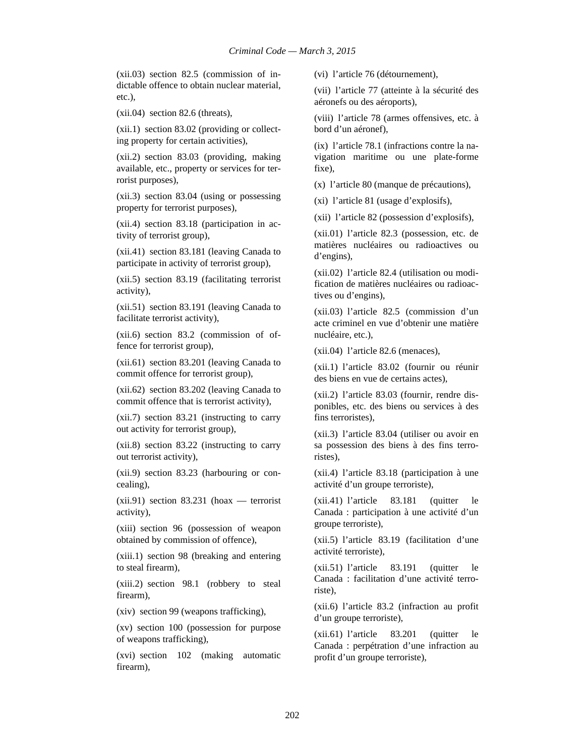(xii.03) section 82.5 (commission of indictable offence to obtain nuclear material, etc.),

(xii.04) section 82.6 (threats),

(xii.1) section 83.02 (providing or collecting property for certain activities),

(xii.2) section 83.03 (providing, making available, etc., property or services for terrorist purposes),

(xii.3) section 83.04 (using or possessing property for terrorist purposes),

(xii.4) section 83.18 (participation in activity of terrorist group),

(xii.41) section 83.181 (leaving Canada to participate in activity of terrorist group),

(xii.5) section 83.19 (facilitating terrorist activity),

(xii.51) section 83.191 (leaving Canada to facilitate terrorist activity),

(xii.6) section 83.2 (commission of offence for terrorist group),

(xii.61) section 83.201 (leaving Canada to commit offence for terrorist group),

(xii.62) section 83.202 (leaving Canada to commit offence that is terrorist activity),

(xii.7) section 83.21 (instructing to carry out activity for terrorist group),

(xii.8) section 83.22 (instructing to carry out terrorist activity),

(xii.9) section 83.23 (harbouring or concealing),

 $(xii.91)$  section 83.231 (hoax — terrorist activity),

(xiii) section 96 (possession of weapon obtained by commission of offence),

(xiii.1) section 98 (breaking and entering to steal firearm),

(xiii.2) section 98.1 (robbery to steal firearm),

(xiv) section 99 (weapons trafficking),

(xv) section 100 (possession for purpose of weapons trafficking),

(xvi) section 102 (making automatic firearm),

(vi) l'article 76 (détournement),

(vii) l'article 77 (atteinte à la sécurité des aéronefs ou des aéroports),

(viii) l'article 78 (armes offensives, etc. à bord d'un aéronef),

(ix) l'article 78.1 (infractions contre la navigation maritime ou une plate-forme fixe),

(x) l'article 80 (manque de précautions),

(xi) l'article 81 (usage d'explosifs),

(xii) l'article 82 (possession d'explosifs),

(xii.01) l'article 82.3 (possession, etc. de matières nucléaires ou radioactives ou d'engins),

(xii.02) l'article 82.4 (utilisation ou modification de matières nucléaires ou radioactives ou d'engins),

(xii.03) l'article 82.5 (commission d'un acte criminel en vue d'obtenir une matière nucléaire, etc.),

(xii.04) l'article 82.6 (menaces),

(xii.1) l'article 83.02 (fournir ou réunir des biens en vue de certains actes),

(xii.2) l'article 83.03 (fournir, rendre disponibles, etc. des biens ou services à des fins terroristes),

(xii.3) l'article 83.04 (utiliser ou avoir en sa possession des biens à des fins terroristes),

(xii.4) l'article 83.18 (participation à une activité d'un groupe terroriste),

(xii.41) l'article 83.181 (quitter le Canada : participation à une activité d'un groupe terroriste),

(xii.5) l'article 83.19 (facilitation d'une activité terroriste),

(xii.51) l'article 83.191 (quitter le Canada : facilitation d'une activité terroriste),

(xii.6) l'article 83.2 (infraction au profit d'un groupe terroriste),

(xii.61) l'article 83.201 (quitter le Canada : perpétration d'une infraction au profit d'un groupe terroriste),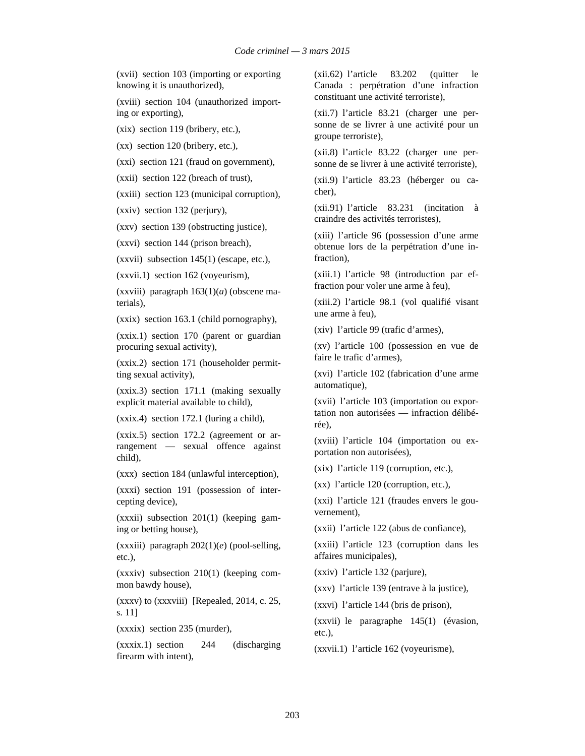(xvii) section 103 (importing or exporting knowing it is unauthorized),

(xviii) section 104 (unauthorized importing or exporting),

(xix) section 119 (bribery, etc.),

(xx) section 120 (bribery, etc.),

(xxi) section 121 (fraud on government),

(xxii) section 122 (breach of trust),

(xxiii) section 123 (municipal corruption),

(xxiv) section 132 (perjury),

(xxv) section 139 (obstructing justice),

(xxvi) section 144 (prison breach),

 $(xxvii)$  subsection  $145(1)$  (escape, etc.),

(xxvii.1) section 162 (voyeurism),

(xxviii) paragraph  $163(1)(a)$  (obscene materials),

(xxix) section 163.1 (child pornography),

(xxix.1) section 170 (parent or guardian procuring sexual activity),

(xxix.2) section 171 (householder permitting sexual activity),

(xxix.3) section 171.1 (making sexually explicit material available to child),

(xxix.4) section 172.1 (luring a child),

(xxix.5) section 172.2 (agreement or arrangement — sexual offence against child),

(xxx) section 184 (unlawful interception),

(xxxi) section 191 (possession of intercepting device),

(xxxii) subsection 201(1) (keeping gaming or betting house),

(xxxiii) paragraph 202(1)(*e*) (pool-selling, etc.),

(xxxiv) subsection 210(1) (keeping common bawdy house),

(xxxv) to (xxxviii) [Repealed, 2014, c. 25, s. 11]

(xxxix) section 235 (murder),

(xxxix.1) section 244 (discharging firearm with intent),

(xii.62) l'article 83.202 (quitter le Canada : perpétration d'une infraction constituant une activité terroriste),

(xii.7) l'article 83.21 (charger une personne de se livrer à une activité pour un groupe terroriste),

(xii.8) l'article 83.22 (charger une personne de se livrer à une activité terroriste),

(xii.9) l'article 83.23 (héberger ou cacher),

(xii.91) l'article 83.231 (incitation à craindre des activités terroristes),

(xiii) l'article 96 (possession d'une arme obtenue lors de la perpétration d'une infraction),

(xiii.1) l'article 98 (introduction par effraction pour voler une arme à feu),

(xiii.2) l'article 98.1 (vol qualifié visant une arme à feu),

(xiv) l'article 99 (trafic d'armes),

(xv) l'article 100 (possession en vue de faire le trafic d'armes),

(xvi) l'article 102 (fabrication d'une arme automatique),

(xvii) l'article 103 (importation ou exportation non autorisées — infraction délibérée),

(xviii) l'article 104 (importation ou exportation non autorisées),

(xix) l'article 119 (corruption, etc.),

(xx) l'article 120 (corruption, etc.),

(xxi) l'article 121 (fraudes envers le gouvernement),

(xxii) l'article 122 (abus de confiance),

(xxiii) l'article 123 (corruption dans les affaires municipales),

(xxiv) l'article 132 (parjure),

(xxv) l'article 139 (entrave à la justice),

(xxvi) l'article 144 (bris de prison),

(xxvii) le paragraphe 145(1) (évasion, etc.),

(xxvii.1) l'article 162 (voyeurisme),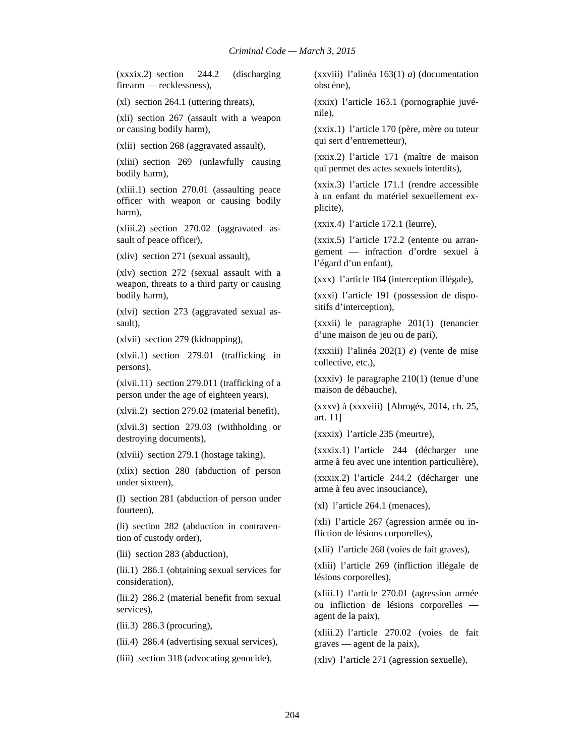(xxxix.2) section 244.2 (discharging firearm — recklessness),

(xl) section 264.1 (uttering threats),

(xli) section 267 (assault with a weapon or causing bodily harm),

(xlii) section 268 (aggravated assault),

(xliii) section 269 (unlawfully causing bodily harm),

(xliii.1) section 270.01 (assaulting peace officer with weapon or causing bodily harm),

(xliii.2) section 270.02 (aggravated assault of peace officer),

(xliv) section 271 (sexual assault),

(xlv) section 272 (sexual assault with a weapon, threats to a third party or causing bodily harm),

(xlvi) section 273 (aggravated sexual assault),

(xlvii) section 279 (kidnapping),

(xlvii.1) section 279.01 (trafficking in persons),

(xlvii.11) section 279.011 (trafficking of a person under the age of eighteen years),

(xlvii.2) section 279.02 (material benefit),

(xlvii.3) section 279.03 (withholding or destroying documents),

(xlviii) section 279.1 (hostage taking),

(xlix) section 280 (abduction of person under sixteen),

(l) section 281 (abduction of person under fourteen),

(li) section 282 (abduction in contravention of custody order),

(lii) section 283 (abduction),

(lii.1) 286.1 (obtaining sexual services for consideration),

(lii.2) 286.2 (material benefit from sexual services),

(lii.3) 286.3 (procuring),

(lii.4) 286.4 (advertising sexual services),

(liii) section 318 (advocating genocide),

(xxviii) l'alinéa 163(1) *a*) (documentation obscène),

(xxix) l'article 163.1 (pornographie juvénile),

(xxix.1) l'article 170 (père, mère ou tuteur qui sert d'entremetteur),

(xxix.2) l'article 171 (maître de maison qui permet des actes sexuels interdits),

(xxix.3) l'article 171.1 (rendre accessible à un enfant du matériel sexuellement explicite),

(xxix.4) l'article 172.1 (leurre),

(xxix.5) l'article 172.2 (entente ou arrangement — infraction d'ordre sexuel à l'égard d'un enfant),

(xxx) l'article 184 (interception illégale),

(xxxi) l'article 191 (possession de dispositifs d'interception),

(xxxii) le paragraphe 201(1) (tenancier d'une maison de jeu ou de pari),

(xxxiii) l'alinéa 202(1) *e*) (vente de mise collective, etc.),

(xxxiv) le paragraphe 210(1) (tenue d'une maison de débauche),

(xxxv) à (xxxviii) [Abrogés, 2014, ch. 25, art. 11]

(xxxix) l'article 235 (meurtre),

(xxxix.1) l'article 244 (décharger une arme à feu avec une intention particulière),

(xxxix.2) l'article 244.2 (décharger une arme à feu avec insouciance),

(xl) l'article 264.1 (menaces),

(xli) l'article 267 (agression armée ou infliction de lésions corporelles),

(xlii) l'article 268 (voies de fait graves),

(xliii) l'article 269 (infliction illégale de lésions corporelles),

(xliii.1) l'article 270.01 (agression armée ou infliction de lésions corporelles agent de la paix),

(xliii.2) l'article 270.02 (voies de fait graves — agent de la paix),

(xliv) l'article 271 (agression sexuelle),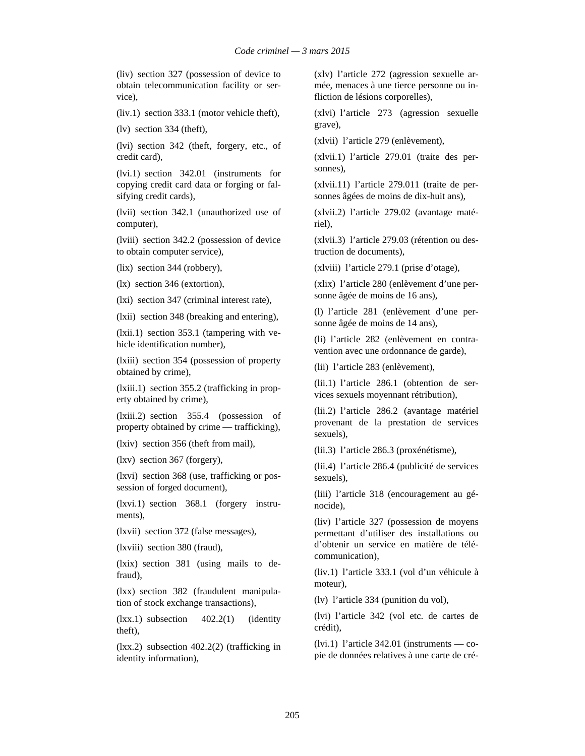(liv) section 327 (possession of device to obtain telecommunication facility or service),

(liv.1) section 333.1 (motor vehicle theft),

(lv) section 334 (theft),

(lvi) section 342 (theft, forgery, etc., of credit card),

(lvi.1) section 342.01 (instruments for copying credit card data or forging or falsifying credit cards),

(lvii) section 342.1 (unauthorized use of computer),

(lviii) section 342.2 (possession of device to obtain computer service),

(lix) section 344 (robbery),

(lx) section 346 (extortion),

(lxi) section 347 (criminal interest rate),

(lxii) section 348 (breaking and entering),

(lxii.1) section 353.1 (tampering with vehicle identification number),

(lxiii) section 354 (possession of property obtained by crime),

(lxiii.1) section 355.2 (trafficking in property obtained by crime),

(lxiii.2) section 355.4 (possession of property obtained by crime — trafficking),

(lxiv) section 356 (theft from mail),

(lxv) section 367 (forgery),

(lxvi) section 368 (use, trafficking or possession of forged document),

(lxvi.1) section 368.1 (forgery instruments),

(lxvii) section 372 (false messages),

(lxviii) section 380 (fraud),

(lxix) section 381 (using mails to defraud),

(lxx) section 382 (fraudulent manipulation of stock exchange transactions),

 $(lxx.1)$  subsection  $402.2(1)$  (identity theft),

(lxx.2) subsection 402.2(2) (trafficking in identity information),

(xlv) l'article 272 (agression sexuelle armée, menaces à une tierce personne ou infliction de lésions corporelles),

(xlvi) l'article 273 (agression sexuelle grave),

(xlvii) l'article 279 (enlèvement),

(xlvii.1) l'article 279.01 (traite des personnes),

(xlvii.11) l'article 279.011 (traite de personnes âgées de moins de dix-huit ans),

(xlvii.2) l'article 279.02 (avantage matériel),

(xlvii.3) l'article 279.03 (rétention ou destruction de documents),

(xlviii) l'article 279.1 (prise d'otage),

(xlix) l'article 280 (enlèvement d'une personne âgée de moins de 16 ans),

(l) l'article 281 (enlèvement d'une personne âgée de moins de 14 ans),

(li) l'article 282 (enlèvement en contravention avec une ordonnance de garde),

(lii) l'article 283 (enlèvement),

(lii.1) l'article 286.1 (obtention de services sexuels moyennant rétribution),

(lii.2) l'article 286.2 (avantage matériel provenant de la prestation de services sexuels),

(lii.3) l'article 286.3 (proxénétisme),

(lii.4) l'article 286.4 (publicité de services sexuels),

(liii) l'article 318 (encouragement au génocide),

(liv) l'article 327 (possession de moyens permettant d'utiliser des installations ou d'obtenir un service en matière de télécommunication),

(liv.1) l'article 333.1 (vol d'un véhicule à moteur),

(lv) l'article 334 (punition du vol),

(lvi) l'article 342 (vol etc. de cartes de crédit),

 $(lvi.1)$  l'article 342.01 (instruments — copie de données relatives à une carte de cré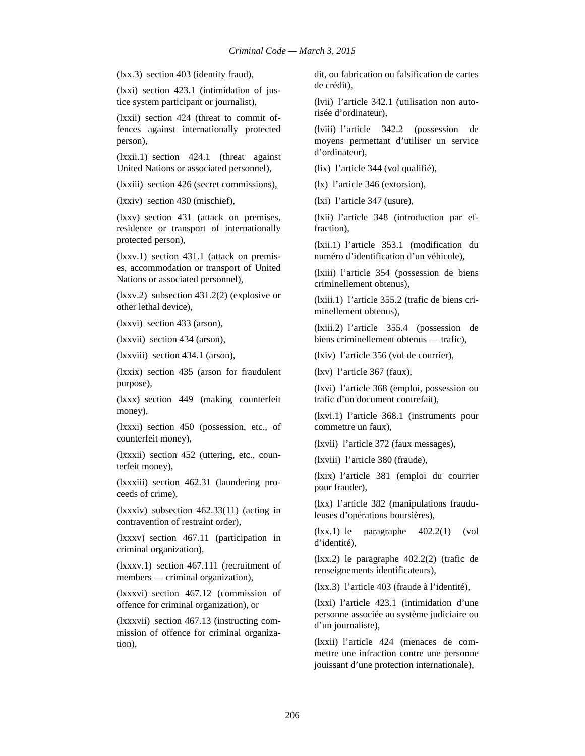(lxx.3) section 403 (identity fraud),

(lxxi) section 423.1 (intimidation of justice system participant or journalist),

(lxxii) section 424 (threat to commit offences against internationally protected person),

(lxxii.1) section 424.1 (threat against United Nations or associated personnel),

(lxxiii) section 426 (secret commissions),

(lxxiv) section 430 (mischief),

(lxxv) section 431 (attack on premises, residence or transport of internationally protected person),

(lxxv.1) section 431.1 (attack on premises, accommodation or transport of United Nations or associated personnel),

(lxxv.2) subsection 431.2(2) (explosive or other lethal device),

(lxxvi) section 433 (arson),

(lxxvii) section 434 (arson),

(lxxviii) section 434.1 (arson),

(lxxix) section 435 (arson for fraudulent purpose),

(lxxx) section 449 (making counterfeit money),

(lxxxi) section 450 (possession, etc., of counterfeit money),

(lxxxii) section 452 (uttering, etc., counterfeit money),

(lxxxiii) section 462.31 (laundering proceeds of crime),

(lxxxiv) subsection 462.33(11) (acting in contravention of restraint order),

(lxxxv) section 467.11 (participation in criminal organization),

(lxxxv.1) section 467.111 (recruitment of members — criminal organization),

(lxxxvi) section 467.12 (commission of offence for criminal organization), or

(lxxxvii) section 467.13 (instructing commission of offence for criminal organization),

dit, ou fabrication ou falsification de cartes de crédit),

(lvii) l'article 342.1 (utilisation non autorisée d'ordinateur),

(lviii) l'article 342.2 (possession de moyens permettant d'utiliser un service d'ordinateur),

(lix) l'article 344 (vol qualifié),

(lx) l'article 346 (extorsion),

(lxi) l'article 347 (usure),

(lxii) l'article 348 (introduction par effraction),

(lxii.1) l'article 353.1 (modification du numéro d'identification d'un véhicule),

(lxiii) l'article 354 (possession de biens criminellement obtenus),

(lxiii.1) l'article 355.2 (trafic de biens criminellement obtenus),

(lxiii.2) l'article 355.4 (possession de biens criminellement obtenus — trafic),

(lxiv) l'article 356 (vol de courrier),

(lxv) l'article 367 (faux),

(lxvi) l'article 368 (emploi, possession ou trafic d'un document contrefait),

(lxvi.1) l'article 368.1 (instruments pour commettre un faux),

(lxvii) l'article 372 (faux messages),

(lxviii) l'article 380 (fraude),

(lxix) l'article 381 (emploi du courrier pour frauder),

(lxx) l'article 382 (manipulations frauduleuses d'opérations boursières),

(lxx.1) le paragraphe 402.2(1) (vol d'identité),

(lxx.2) le paragraphe 402.2(2) (trafic de renseignements identificateurs),

(lxx.3) l'article 403 (fraude à l'identité),

(lxxi) l'article 423.1 (intimidation d'une personne associée au système judiciaire ou d'un journaliste),

(lxxii) l'article 424 (menaces de commettre une infraction contre une personne jouissant d'une protection internationale),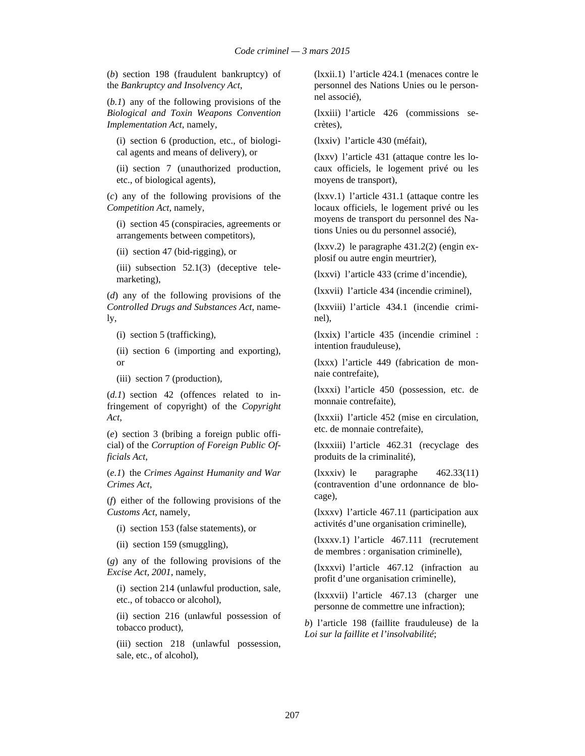(*b*) section 198 (fraudulent bankruptcy) of the *Bankruptcy and Insolvency Act*,

(*b.1*) any of the following provisions of the *Biological and Toxin Weapons Convention Implementation Act*, namely,

(i) section 6 (production, etc., of biological agents and means of delivery), or

(ii) section 7 (unauthorized production, etc., of biological agents),

(*c*) any of the following provisions of the *Competition Act*, namely,

(i) section 45 (conspiracies, agreements or arrangements between competitors),

(ii) section 47 (bid-rigging), or

(iii) subsection 52.1(3) (deceptive telemarketing),

(*d*) any of the following provisions of the *Controlled Drugs and Substances Act*, namely,

(i) section 5 (trafficking),

(ii) section 6 (importing and exporting), or

(iii) section 7 (production),

(*d.1*) section 42 (offences related to infringement of copyright) of the *Copyright Act*,

(*e*) section 3 (bribing a foreign public official) of the *Corruption of Foreign Public Officials Act*,

(*e.1*) the *Crimes Against Humanity and War Crimes Act*,

(*f*) either of the following provisions of the *Customs Act*, namely,

(i) section 153 (false statements), or

(ii) section 159 (smuggling),

(*g*) any of the following provisions of the *Excise Act, 2001*, namely,

(i) section 214 (unlawful production, sale, etc., of tobacco or alcohol),

(ii) section 216 (unlawful possession of tobacco product),

(iii) section 218 (unlawful possession, sale, etc., of alcohol),

(lxxii.1) l'article 424.1 (menaces contre le personnel des Nations Unies ou le personnel associé),

(lxxiii) l'article 426 (commissions secrètes),

(lxxiv) l'article 430 (méfait),

(lxxv) l'article 431 (attaque contre les locaux officiels, le logement privé ou les moyens de transport),

(lxxv.1) l'article 431.1 (attaque contre les locaux officiels, le logement privé ou les moyens de transport du personnel des Nations Unies ou du personnel associé),

(lxxv.2) le paragraphe 431.2(2) (engin explosif ou autre engin meurtrier),

(lxxvi) l'article 433 (crime d'incendie),

(lxxvii) l'article 434 (incendie criminel),

(lxxviii) l'article 434.1 (incendie criminel),

(lxxix) l'article 435 (incendie criminel : intention frauduleuse),

(lxxx) l'article 449 (fabrication de monnaie contrefaite),

(lxxxi) l'article 450 (possession, etc. de monnaie contrefaite),

(lxxxii) l'article 452 (mise en circulation, etc. de monnaie contrefaite),

(lxxxiii) l'article 462.31 (recyclage des produits de la criminalité),

(lxxxiv) le paragraphe 462.33(11) (contravention d'une ordonnance de blocage),

(lxxxv) l'article 467.11 (participation aux activités d'une organisation criminelle),

(lxxxv.1) l'article 467.111 (recrutement de membres : organisation criminelle),

(lxxxvi) l'article 467.12 (infraction au profit d'une organisation criminelle),

(lxxxvii) l'article 467.13 (charger une personne de commettre une infraction);

*b*) l'article 198 (faillite frauduleuse) de la *Loi sur la faillite et l'insolvabilité*;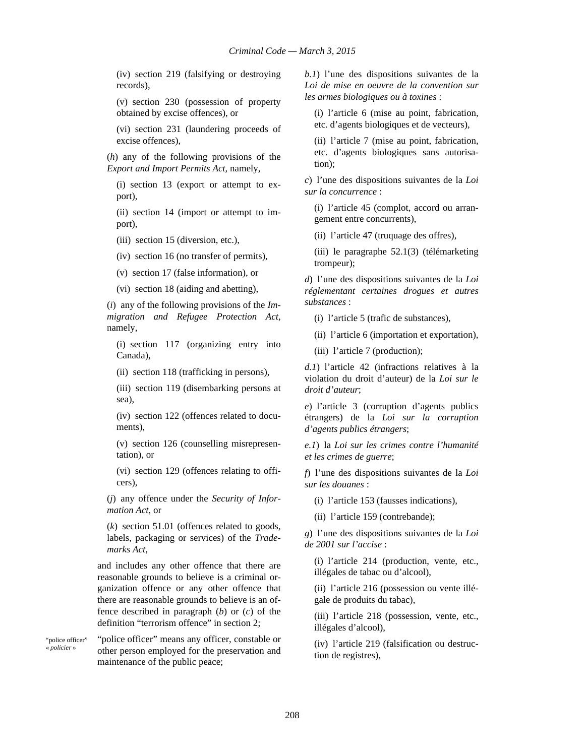(iv) section 219 (falsifying or destroying records),

(v) section 230 (possession of property obtained by excise offences), or

(vi) section 231 (laundering proceeds of excise offences),

(*h*) any of the following provisions of the *Export and Import Permits Act*, namely,

(i) section 13 (export or attempt to export),

(ii) section 14 (import or attempt to import),

(iii) section 15 (diversion, etc.),

(iv) section 16 (no transfer of permits),

(v) section 17 (false information), or

(vi) section 18 (aiding and abetting),

(*i*) any of the following provisions of the *Immigration and Refugee Protection Act*, namely,

(i) section 117 (organizing entry into Canada),

(ii) section 118 (trafficking in persons),

(iii) section 119 (disembarking persons at sea),

(iv) section 122 (offences related to documents),

(v) section 126 (counselling misrepresentation), or

(vi) section 129 (offences relating to officers),

(*j*) any offence under the *Security of Information Act*, or

(*k*) section 51.01 (offences related to goods, labels, packaging or services) of the *Trademarks Act*,

and includes any other offence that there are reasonable grounds to believe is a criminal organization offence or any other offence that there are reasonable grounds to believe is an offence described in paragraph (*b*) or (*c*) of the definition "terrorism offence" in section 2:

"police officer" « *policier* »

"police officer" means any officer, constable or other person employed for the preservation and maintenance of the public peace;

*b.1*) l'une des dispositions suivantes de la *Loi de mise en oeuvre de la convention sur les armes biologiques ou à toxines* :

(i) l'article 6 (mise au point, fabrication, etc. d'agents biologiques et de vecteurs),

(ii) l'article 7 (mise au point, fabrication, etc. d'agents biologiques sans autorisation);

*c*) l'une des dispositions suivantes de la *Loi sur la concurrence* :

(i) l'article 45 (complot, accord ou arrangement entre concurrents),

(ii) l'article 47 (truquage des offres),

(iii) le paragraphe 52.1(3) (télémarketing trompeur);

*d*) l'une des dispositions suivantes de la *Loi réglementant certaines drogues et autres substances* :

(i) l'article 5 (trafic de substances),

(ii) l'article 6 (importation et exportation),

(iii) l'article 7 (production);

*d.1*) l'article 42 (infractions relatives à la violation du droit d'auteur) de la *Loi sur le droit d'auteur*;

*e*) l'article 3 (corruption d'agents publics étrangers) de la *Loi sur la corruption d'agents publics étrangers*;

*e.1*) la *Loi sur les crimes contre l'humanité et les crimes de guerre*;

*f*) l'une des dispositions suivantes de la *Loi sur les douanes* :

(i) l'article 153 (fausses indications),

(ii) l'article 159 (contrebande);

*g*) l'une des dispositions suivantes de la *Loi de 2001 sur l'accise* :

(i) l'article 214 (production, vente, etc., illégales de tabac ou d'alcool),

(ii) l'article 216 (possession ou vente illégale de produits du tabac),

(iii) l'article 218 (possession, vente, etc., illégales d'alcool),

(iv) l'article 219 (falsification ou destruction de registres),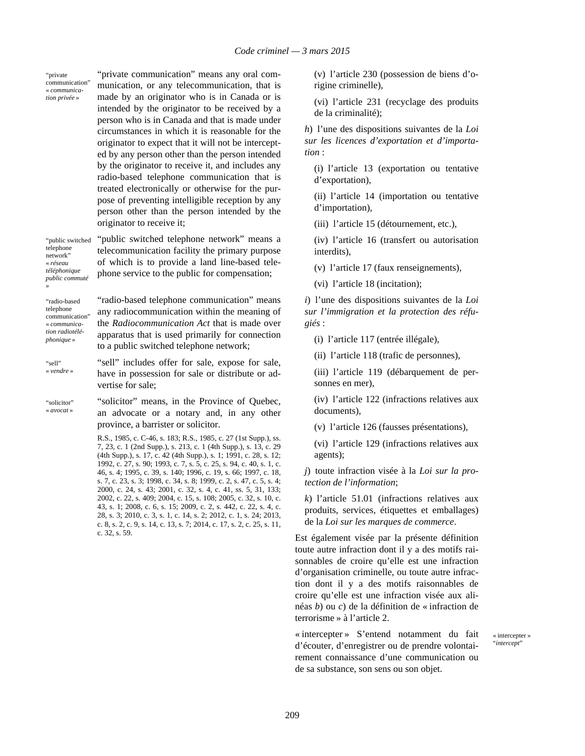"private communication" « *communication privée* »

"private communication" means any oral communication, or any telecommunication, that is made by an originator who is in Canada or is intended by the originator to be received by a person who is in Canada and that is made under circumstances in which it is reasonable for the originator to expect that it will not be intercepted by any person other than the person intended by the originator to receive it, and includes any radio-based telephone communication that is treated electronically or otherwise for the purpose of preventing intelligible reception by any person other than the person intended by the originator to receive it;

"public switched telephone network" « *réseau téléphonique public commuté* »

"public switched telephone network" means a telecommunication facility the primary purpose of which is to provide a land line-based telephone service to the public for compensation;

"radio-based telephone communication" « *communication radiotéléphonique* »

"radio-based telephone communication" means any radiocommunication within the meaning of the *Radiocommunication Act* that is made over apparatus that is used primarily for connection to a public switched telephone network;

"sell" « *vendre* »

"sell" includes offer for sale, expose for sale, have in possession for sale or distribute or advertise for sale;

"solicitor" « *avocat* »

"solicitor" means, in the Province of Quebec, an advocate or a notary and, in any other province, a barrister or solicitor.

R.S., 1985, c. C-46, s. 183; R.S., 1985, c. 27 (1st Supp.), ss. 7, 23, c. 1 (2nd Supp.), s. 213, c. 1 (4th Supp.), s. 13, c. 29 (4th Supp.), s. 17, c. 42 (4th Supp.), s. 1; 1991, c. 28, s. 12; 1992, c. 27, s. 90; 1993, c. 7, s. 5, c. 25, s. 94, c. 40, s. 1, c. 46, s. 4; 1995, c. 39, s. 140; 1996, c. 19, s. 66; 1997, c. 18, s. 7, c. 23, s. 3; 1998, c. 34, s. 8; 1999, c. 2, s. 47, c. 5, s. 4; 2000, c. 24, s. 43; 2001, c. 32, s. 4, c. 41, ss. 5, 31, 133; 2002, c. 22, s. 409; 2004, c. 15, s. 108; 2005, c. 32, s. 10, c. 43, s. 1; 2008, c. 6, s. 15; 2009, c. 2, s. 442, c. 22, s. 4, c. 28, s. 3; 2010, c. 3, s. 1, c. 14, s. 2; 2012, c. 1, s. 24; 2013, c. 8, s. 2, c. 9, s. 14, c. 13, s. 7; 2014, c. 17, s. 2, c. 25, s. 11, c. 32, s. 59.

(v) l'article 230 (possession de biens d'origine criminelle),

(vi) l'article 231 (recyclage des produits de la criminalité);

*h*) l'une des dispositions suivantes de la *Loi sur les licences d'exportation et d'importation* :

(i) l'article 13 (exportation ou tentative d'exportation),

(ii) l'article 14 (importation ou tentative d'importation),

(iii) l'article 15 (détournement, etc.),

(iv) l'article 16 (transfert ou autorisation interdits),

(v) l'article 17 (faux renseignements),

(vi) l'article 18 (incitation);

*i*) l'une des dispositions suivantes de la *Loi sur l'immigration et la protection des réfugiés* :

(i) l'article 117 (entrée illégale),

(ii) l'article 118 (trafic de personnes),

(iii) l'article 119 (débarquement de personnes en mer),

(iv) l'article 122 (infractions relatives aux documents),

(v) l'article 126 (fausses présentations),

(vi) l'article 129 (infractions relatives aux agents);

*j*) toute infraction visée à la *Loi sur la protection de l'information*;

*k*) l'article 51.01 (infractions relatives aux produits, services, étiquettes et emballages) de la *Loi sur les marques de commerce*.

Est également visée par la présente définition toute autre infraction dont il y a des motifs raisonnables de croire qu'elle est une infraction d'organisation criminelle, ou toute autre infraction dont il y a des motifs raisonnables de croire qu'elle est une infraction visée aux alinéas *b*) ou *c*) de la définition de « infraction de terrorisme » à l'article 2.

« intercepter » S'entend notamment du fait d'écouter, d'enregistrer ou de prendre volontairement connaissance d'une communication ou de sa substance, son sens ou son objet.

« intercepter » "*intercept*"